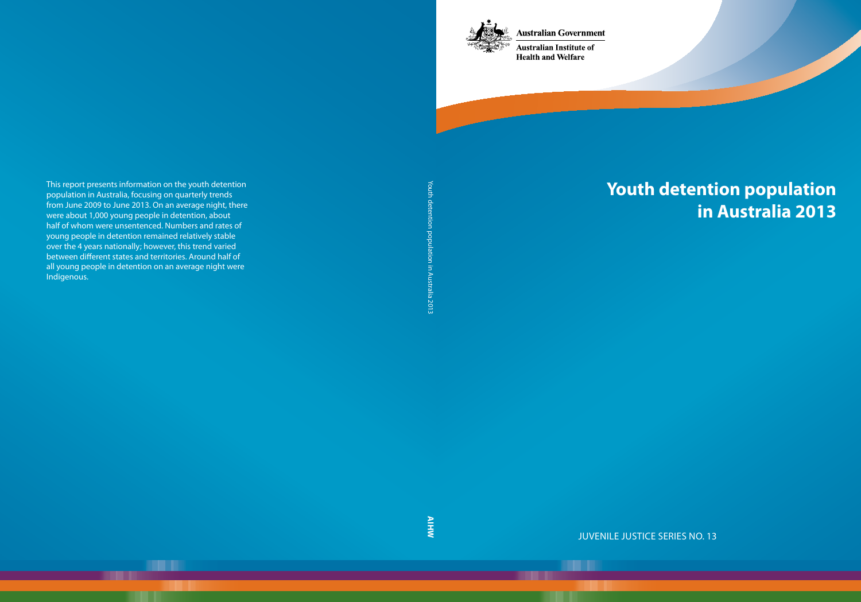**Australian Government** 



**Australian Institute of Health and Welfare** 

# **Youth detention population in Australia 2013**

Juvenile justice series No. 13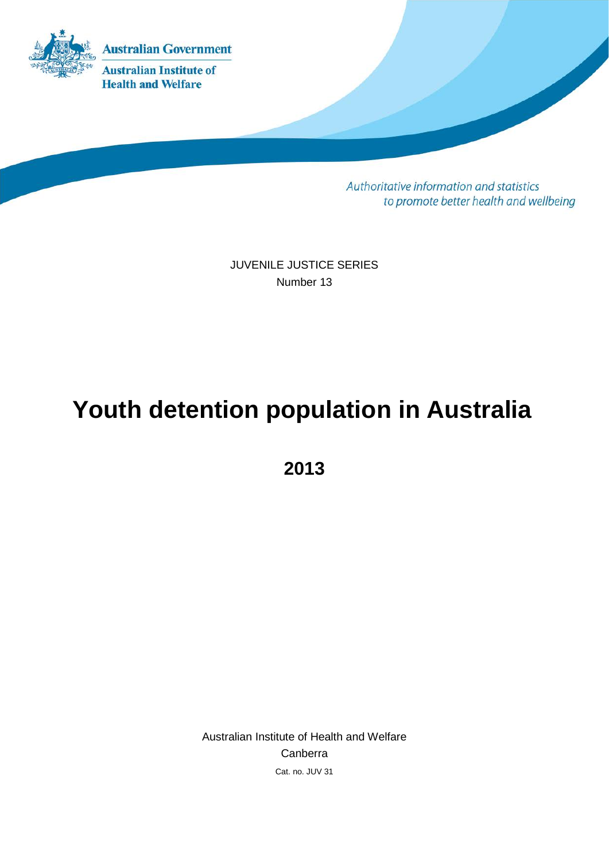

Authoritative information and statistics to promote better health and wellbeing

JUVENILE JUSTICE SERIES Number 13

# **Youth detention population in Australia**

**2013**

Australian Institute of Health and Welfare Canberra Cat. no. JUV 31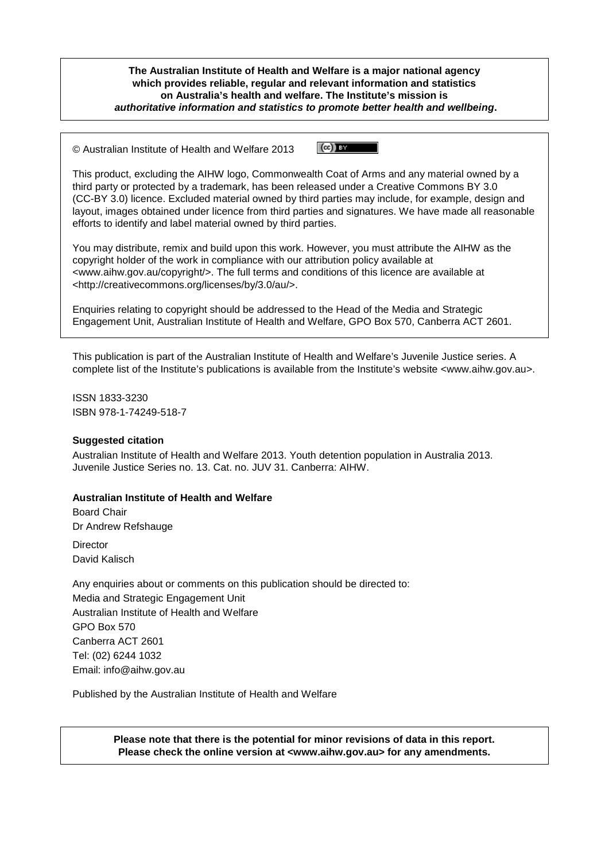**The Australian Institute of Health and Welfare is a major national agency which provides reliable, regular and relevant information and statistics on Australia's health and welfare. The Institute's mission is** *authoritative information and statistics to promote better health and wellbeing***.** 

 $\left(\mathrm{cc}\right)$  by © Australian Institute of Health and Welfare 2013

This product, excluding the AIHW logo, Commonwealth Coat of Arms and any material owned by a third party or protected by a trademark, has been released under a Creative Commons BY 3.0 (CC-BY 3.0) licence. Excluded material owned by third parties may include, for example, design and layout, images obtained under licence from third parties and signatures. We have made all reasonable efforts to identify and label material owned by third parties.

You may distribute, remix and build upon this work. However, you must attribute the AIHW as the copyright holder of the work in compliance with our attribution policy available at <www.aihw.gov.au/copyright/>. The full terms and conditions of this licence are available at <http://creativecommons.org/licenses/by/3.0/au/>.

Enquiries relating to copyright should be addressed to the Head of the Media and Strategic Engagement Unit, Australian Institute of Health and Welfare, GPO Box 570, Canberra ACT 2601.

This publication is part of the Australian Institute of Health and Welfare's Juvenile Justice series. A complete list of the Institute's publications is available from the Institute's website <www.aihw.gov.au>.

ISSN 1833-3230 ISBN 978-1-74249-518-7

#### **Suggested citation**

Australian Institute of Health and Welfare 2013. Youth detention population in Australia 2013. Juvenile Justice Series no. 13. Cat. no. JUV 31. Canberra: AIHW.

#### **Australian Institute of Health and Welfare**

Board Chair Dr Andrew Refshauge

**Director** David Kalisch

Any enquiries about or comments on this publication should be directed to: Media and Strategic Engagement Unit Australian Institute of Health and Welfare GPO Box 570 Canberra ACT 2601 Tel: (02) 6244 1032 Email: info@aihw.gov.au

Published by the Australian Institute of Health and Welfare

**Please note that there is the potential for minor revisions of data in this report. Please check the online version at <www.aihw.gov.au> for any amendments.**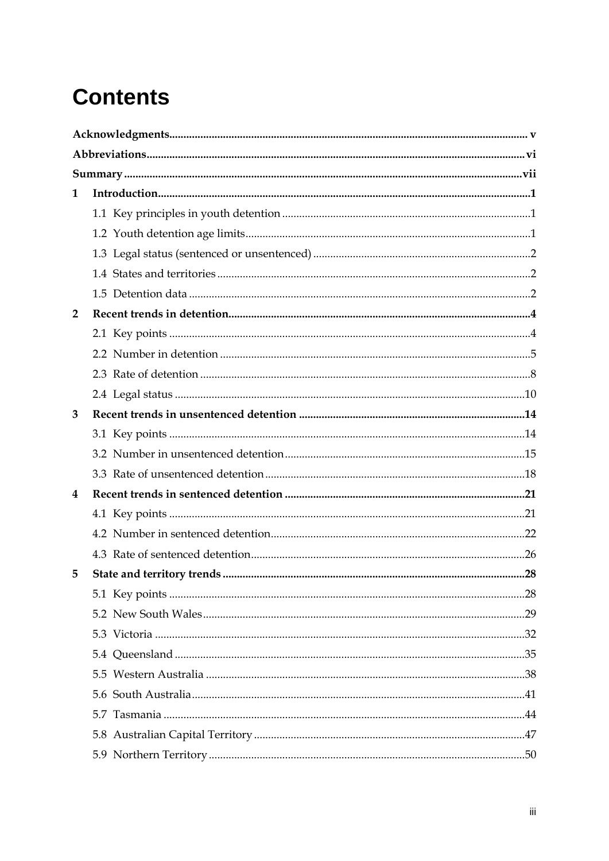# **Contents**

| 1              |  |  |  |  |
|----------------|--|--|--|--|
|                |  |  |  |  |
|                |  |  |  |  |
|                |  |  |  |  |
|                |  |  |  |  |
|                |  |  |  |  |
| $\overline{2}$ |  |  |  |  |
|                |  |  |  |  |
|                |  |  |  |  |
|                |  |  |  |  |
|                |  |  |  |  |
| 3              |  |  |  |  |
|                |  |  |  |  |
|                |  |  |  |  |
|                |  |  |  |  |
| 4              |  |  |  |  |
|                |  |  |  |  |
|                |  |  |  |  |
|                |  |  |  |  |
| 5              |  |  |  |  |
|                |  |  |  |  |
|                |  |  |  |  |
|                |  |  |  |  |
|                |  |  |  |  |
|                |  |  |  |  |
|                |  |  |  |  |
|                |  |  |  |  |
|                |  |  |  |  |
|                |  |  |  |  |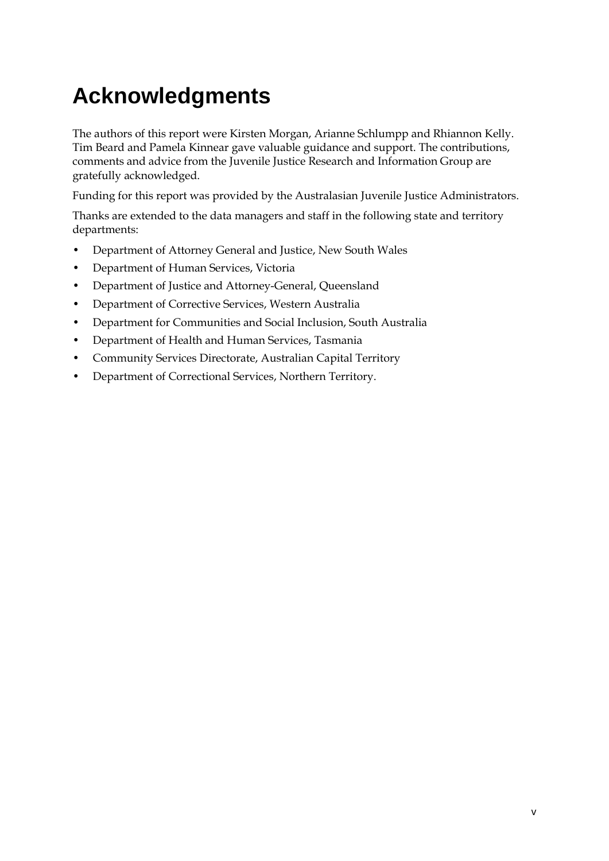# <span id="page-5-0"></span>**Acknowledgments**

The authors of this report were Kirsten Morgan, Arianne Schlumpp and Rhiannon Kelly. Tim Beard and Pamela Kinnear gave valuable guidance and support. The contributions, comments and advice from the Juvenile Justice Research and Information Group are gratefully acknowledged.

Funding for this report was provided by the Australasian Juvenile Justice Administrators.

Thanks are extended to the data managers and staff in the following state and territory departments:

- Department of Attorney General and Justice, New South Wales
- Department of Human Services, Victoria
- Department of Justice and Attorney-General, Queensland
- Department of Corrective Services, Western Australia
- Department for Communities and Social Inclusion, South Australia
- Department of Health and Human Services, Tasmania
- Community Services Directorate, Australian Capital Territory
- Department of Correctional Services, Northern Territory.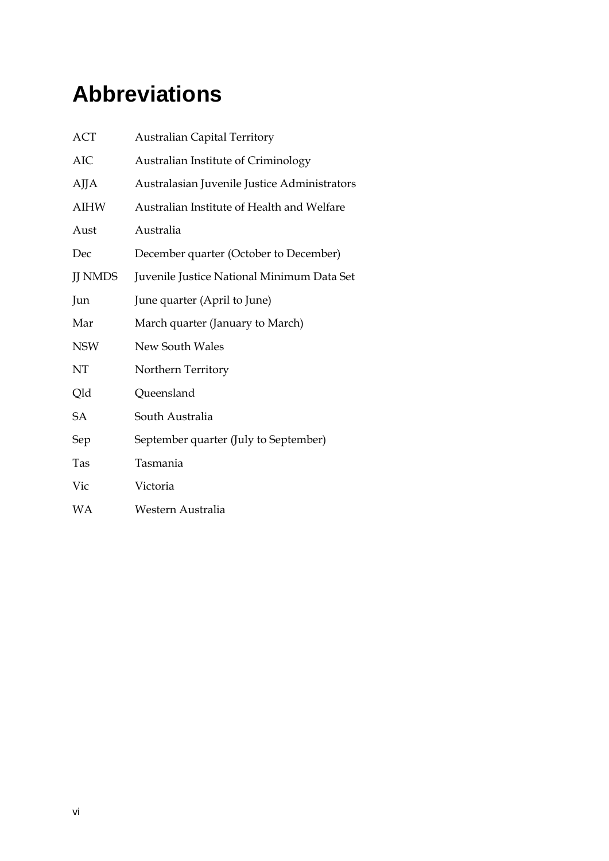# <span id="page-6-0"></span>**Abbreviations**

| <b>ACT</b>     | <b>Australian Capital Territory</b>          |
|----------------|----------------------------------------------|
| <b>AIC</b>     | Australian Institute of Criminology          |
| AJJA           | Australasian Juvenile Justice Administrators |
| <b>AIHW</b>    | Australian Institute of Health and Welfare   |
| Aust           | Australia                                    |
| Dec            | December quarter (October to December)       |
| <b>JJ NMDS</b> | Juvenile Justice National Minimum Data Set   |
| Jun            | June quarter (April to June)                 |
| Mar            | March quarter (January to March)             |
| <b>NSW</b>     | <b>New South Wales</b>                       |
| NT             | Northern Territory                           |
| Qld            | Queensland                                   |
| <b>SA</b>      | South Australia                              |
| Sep            | September quarter (July to September)        |
| Tas            | Tasmania                                     |
| Vic            | Victoria                                     |
| WΑ             | Western Australia                            |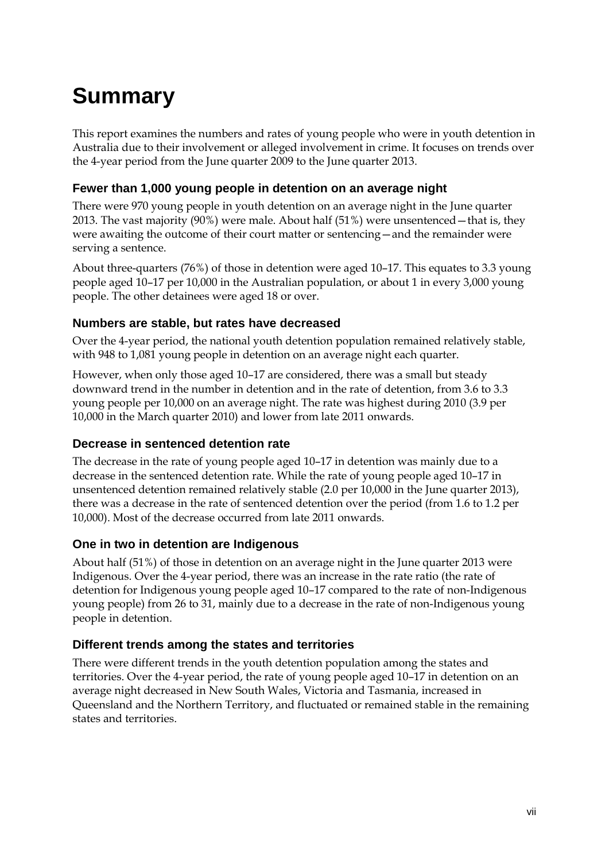# <span id="page-7-0"></span>**Summary**

This report examines the numbers and rates of young people who were in youth detention in Australia due to their involvement or alleged involvement in crime. It focuses on trends over the 4-year period from the June quarter 2009 to the June quarter 2013.

#### **Fewer than 1,000 young people in detention on an average night**

There were 970 young people in youth detention on an average night in the June quarter 2013. The vast majority (90%) were male. About half (51%) were unsentenced—that is, they were awaiting the outcome of their court matter or sentencing—and the remainder were serving a sentence.

About three-quarters (76%) of those in detention were aged 10–17. This equates to 3.3 young people aged 10–17 per 10,000 in the Australian population, or about 1 in every 3,000 young people. The other detainees were aged 18 or over.

#### **Numbers are stable, but rates have decreased**

Over the 4-year period, the national youth detention population remained relatively stable, with 948 to 1,081 young people in detention on an average night each quarter.

However, when only those aged 10–17 are considered, there was a small but steady downward trend in the number in detention and in the rate of detention, from 3.6 to 3.3 young people per 10,000 on an average night. The rate was highest during 2010 (3.9 per 10,000 in the March quarter 2010) and lower from late 2011 onwards.

#### **Decrease in sentenced detention rate**

The decrease in the rate of young people aged 10–17 in detention was mainly due to a decrease in the sentenced detention rate. While the rate of young people aged 10–17 in unsentenced detention remained relatively stable (2.0 per 10,000 in the June quarter 2013), there was a decrease in the rate of sentenced detention over the period (from 1.6 to 1.2 per 10,000). Most of the decrease occurred from late 2011 onwards.

#### **One in two in detention are Indigenous**

About half (51%) of those in detention on an average night in the June quarter 2013 were Indigenous. Over the 4-year period, there was an increase in the rate ratio (the rate of detention for Indigenous young people aged 10–17 compared to the rate of non-Indigenous young people) from 26 to 31, mainly due to a decrease in the rate of non-Indigenous young people in detention.

#### **Different trends among the states and territories**

There were different trends in the youth detention population among the states and territories. Over the 4-year period, the rate of young people aged 10–17 in detention on an average night decreased in New South Wales, Victoria and Tasmania, increased in Queensland and the Northern Territory, and fluctuated or remained stable in the remaining states and territories.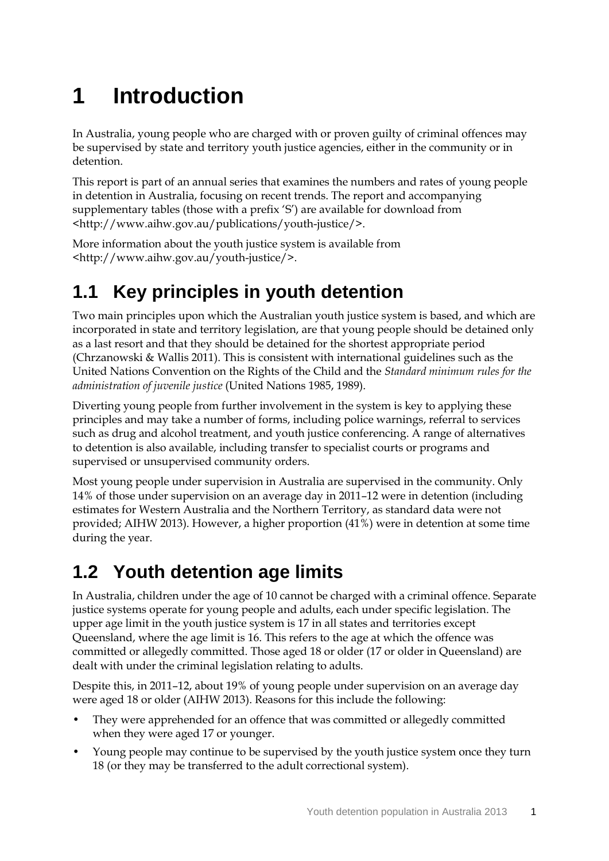# <span id="page-9-0"></span>**1 Introduction**

In Australia, young people who are charged with or proven guilty of criminal offences may be supervised by state and territory youth justice agencies, either in the community or in detention.

This report is part of an annual series that examines the numbers and rates of young people in detention in Australia, focusing on recent trends. The report and accompanying supplementary tables (those with a prefix 'S') are available for download from <http://www.aihw.gov.au/publications/youth-justice/>.

More information about the youth justice system is available from <http://www.aihw.gov.au/youth-justice/>.

## <span id="page-9-1"></span>**1.1 Key principles in youth detention**

Two main principles upon which the Australian youth justice system is based, and which are incorporated in state and territory legislation, are that young people should be detained only as a last resort and that they should be detained for the shortest appropriate period [\(Chrzanowski & Wallis 2011\)](#page-74-1). This is consistent with international guidelines such as the United Nations Convention on the Rights of the Child and the *Standard minimum rules for the administration of juvenile justice* [\(United Nations 1985,](#page-74-2) [1989\)](#page-74-3).

Diverting young people from further involvement in the system is key to applying these principles and may take a number of forms, including police warnings, referral to services such as drug and alcohol treatment, and youth justice conferencing. A range of alternatives to detention is also available, including transfer to specialist courts or programs and supervised or unsupervised community orders.

Most young people under supervision in Australia are supervised in the community. Only 14% of those under supervision on an average day in 2011–12 were in detention (including estimates for Western Australia and the Northern Territory, as standard data were not provided; [AIHW 2013\)](#page-74-4). However, a higher proportion (41%) were in detention at some time during the year.

## <span id="page-9-2"></span>**1.2 Youth detention age limits**

In Australia, children under the age of 10 cannot be charged with a criminal offence. Separate justice systems operate for young people and adults, each under specific legislation. The upper age limit in the youth justice system is 17 in all states and territories except Queensland, where the age limit is 16. This refers to the age at which the offence was committed or allegedly committed. Those aged 18 or older (17 or older in Queensland) are dealt with under the criminal legislation relating to adults.

Despite this, in 2011–12, about 19% of young people under supervision on an average day were aged 18 or older [\(AIHW 2013\)](#page-74-4). Reasons for this include the following:

- They were apprehended for an offence that was committed or allegedly committed when they were aged 17 or younger.
- Young people may continue to be supervised by the youth justice system once they turn 18 (or they may be transferred to the adult correctional system).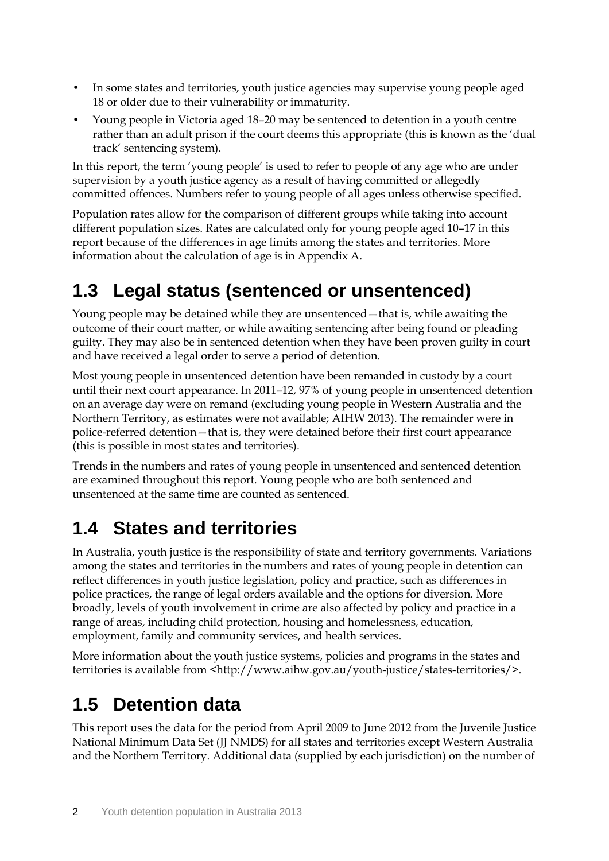- In some states and territories, youth justice agencies may supervise young people aged 18 or older due to their vulnerability or immaturity.
- Young people in Victoria aged 18–20 may be sentenced to detention in a youth centre rather than an adult prison if the court deems this appropriate (this is known as the 'dual track' sentencing system).

In this report, the term 'young people' is used to refer to people of any age who are under supervision by a youth justice agency as a result of having committed or allegedly committed offences. Numbers refer to young people of all ages unless otherwise specified.

Population rates allow for the comparison of different groups while taking into account different population sizes. Rates are calculated only for young people aged 10–17 in this report because of the differences in age limits among the states and territories. More information about the calculation of age is in Appendix A.

## <span id="page-10-0"></span>**1.3 Legal status (sentenced or unsentenced)**

Young people may be detained while they are unsentenced—that is, while awaiting the outcome of their court matter, or while awaiting sentencing after being found or pleading guilty. They may also be in sentenced detention when they have been proven guilty in court and have received a legal order to serve a period of detention.

Most young people in unsentenced detention have been remanded in custody by a court until their next court appearance. In 2011–12, 97% of young people in unsentenced detention on an average day were on remand (excluding young people in Western Australia and the Northern Territory, as estimates were not available; [AIHW 2013\)](#page-74-4). The remainder were in police-referred detention—that is, they were detained before their first court appearance (this is possible in most states and territories).

Trends in the numbers and rates of young people in unsentenced and sentenced detention are examined throughout this report. Young people who are both sentenced and unsentenced at the same time are counted as sentenced.

## <span id="page-10-1"></span>**1.4 States and territories**

In Australia, youth justice is the responsibility of state and territory governments. Variations among the states and territories in the numbers and rates of young people in detention can reflect differences in youth justice legislation, policy and practice, such as differences in police practices, the range of legal orders available and the options for diversion. More broadly, levels of youth involvement in crime are also affected by policy and practice in a range of areas, including child protection, housing and homelessness, education, employment, family and community services, and health services.

More information about the youth justice systems, policies and programs in the states and territories is available from <http://www.aihw.gov.au/youth-justice/states-territories/>.

## <span id="page-10-2"></span>**1.5 Detention data**

This report uses the data for the period from April 2009 to June 2012 from the Juvenile Justice National Minimum Data Set (JJ NMDS) for all states and territories except Western Australia and the Northern Territory. Additional data (supplied by each jurisdiction) on the number of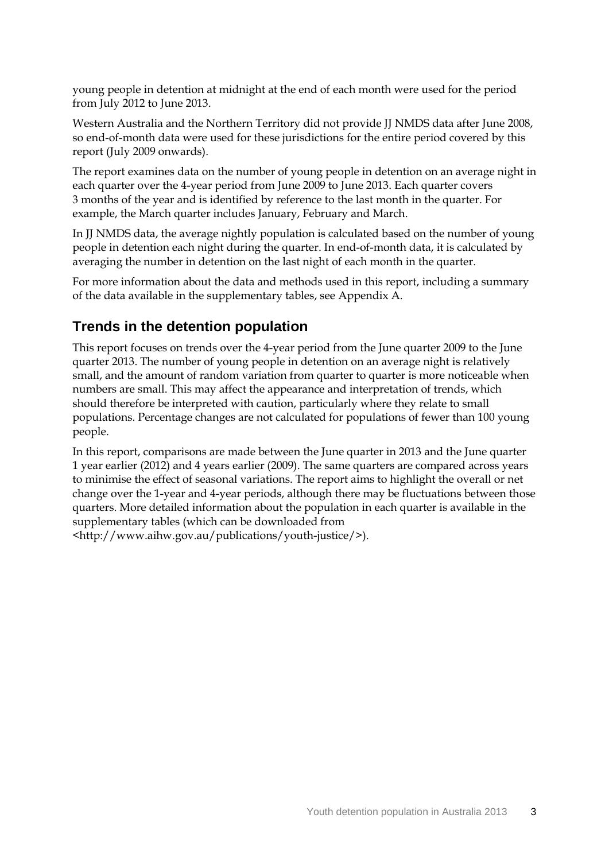young people in detention at midnight at the end of each month were used for the period from July 2012 to June 2013.

Western Australia and the Northern Territory did not provide JJ NMDS data after June 2008, so end-of-month data were used for these jurisdictions for the entire period covered by this report (July 2009 onwards).

The report examines data on the number of young people in detention on an average night in each quarter over the 4-year period from June 2009 to June 2013. Each quarter covers 3 months of the year and is identified by reference to the last month in the quarter. For example, the March quarter includes January, February and March.

In JJ NMDS data, the average nightly population is calculated based on the number of young people in detention each night during the quarter. In end-of-month data, it is calculated by averaging the number in detention on the last night of each month in the quarter.

For more information about the data and methods used in this report, including a summary of the data available in the supplementary tables, see Appendix A.

### **Trends in the detention population**

This report focuses on trends over the 4-year period from the June quarter 2009 to the June quarter 2013. The number of young people in detention on an average night is relatively small, and the amount of random variation from quarter to quarter is more noticeable when numbers are small. This may affect the appearance and interpretation of trends, which should therefore be interpreted with caution, particularly where they relate to small populations. Percentage changes are not calculated for populations of fewer than 100 young people.

In this report, comparisons are made between the June quarter in 2013 and the June quarter 1 year earlier (2012) and 4 years earlier (2009). The same quarters are compared across years to minimise the effect of seasonal variations. The report aims to highlight the overall or net change over the 1-year and 4-year periods, although there may be fluctuations between those quarters. More detailed information about the population in each quarter is available in the supplementary tables (which can be downloaded from

<http://www.aihw.gov.au/publications/youth-justice/>).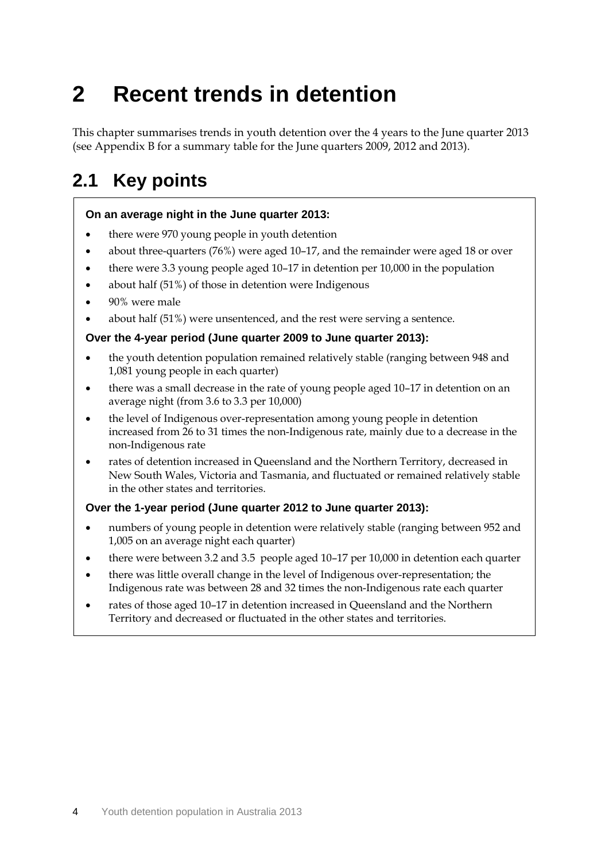# <span id="page-12-0"></span>**2 Recent trends in detention**

This chapter summarises trends in youth detention over the 4 years to the June quarter 2013 (see Appendix B for a summary table for the June quarters 2009, 2012 and 2013).

## <span id="page-12-1"></span>**2.1 Key points**

#### **On an average night in the June quarter 2013:**

- there were 970 young people in youth detention
- about three-quarters (76%) were aged 10–17, and the remainder were aged 18 or over
- there were 3.3 young people aged 10–17 in detention per 10,000 in the population
- about half (51%) of those in detention were Indigenous
- 90% were male
- about half (51%) were unsentenced, and the rest were serving a sentence.

#### **Over the 4-year period (June quarter 2009 to June quarter 2013):**

- the youth detention population remained relatively stable (ranging between 948 and 1,081 young people in each quarter)
- there was a small decrease in the rate of young people aged 10–17 in detention on an average night (from 3.6 to 3.3 per 10,000)
- the level of Indigenous over-representation among young people in detention increased from 26 to 31 times the non-Indigenous rate, mainly due to a decrease in the non-Indigenous rate
- rates of detention increased in Queensland and the Northern Territory, decreased in New South Wales, Victoria and Tasmania, and fluctuated or remained relatively stable in the other states and territories.

#### **Over the 1-year period (June quarter 2012 to June quarter 2013):**

- numbers of young people in detention were relatively stable (ranging between 952 and 1,005 on an average night each quarter)
- there were between 3.2 and 3.5 people aged 10–17 per 10,000 in detention each quarter
- there was little overall change in the level of Indigenous over-representation; the Indigenous rate was between 28 and 32 times the non-Indigenous rate each quarter
- rates of those aged 10–17 in detention increased in Queensland and the Northern Territory and decreased or fluctuated in the other states and territories.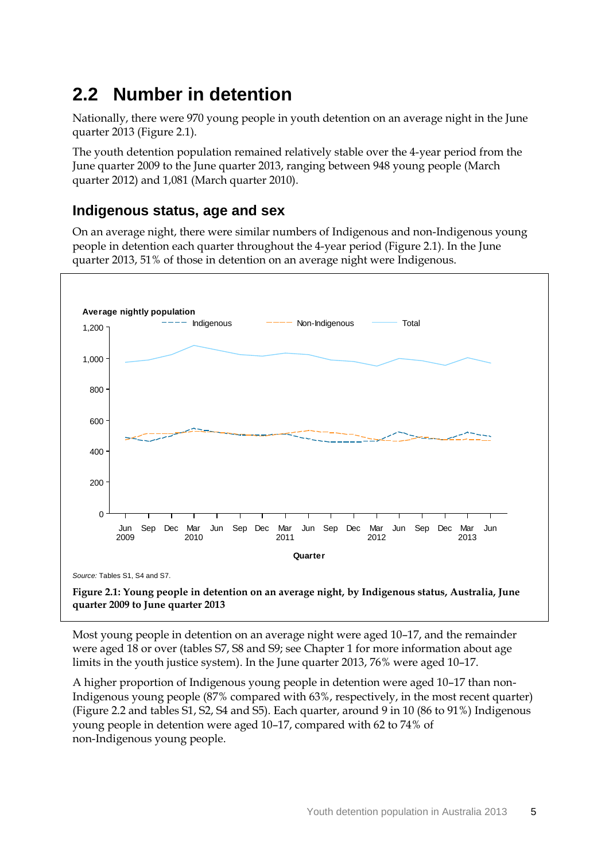## <span id="page-13-0"></span>**2.2 Number in detention**

Nationally, there were 970 young people in youth detention on an average night in the June quarter 2013 (Figure 2.1).

The youth detention population remained relatively stable over the 4-year period from the June quarter 2009 to the June quarter 2013, ranging between 948 young people (March quarter 2012) and 1,081 (March quarter 2010).

#### **Indigenous status, age and sex**

On an average night, there were similar numbers of Indigenous and non-Indigenous young people in detention each quarter throughout the 4-year period (Figure 2.1). In the June quarter 2013, 51% of those in detention on an average night were Indigenous.



**Figure 2.1: Young people in detention on an average night, by Indigenous status, Australia, June quarter 2009 to June quarter 2013**

Most young people in detention on an average night were aged 10–17, and the remainder were aged 18 or over (tables S7, S8 and S9; see Chapter 1 for more information about age limits in the youth justice system). In the June quarter 2013, 76% were aged 10–17.

A higher proportion of Indigenous young people in detention were aged 10–17 than non-Indigenous young people (87% compared with 63%, respectively, in the most recent quarter) (Figure 2.2 and tables S1, S2, S4 and S5). Each quarter, around 9 in 10 (86 to 91%) Indigenous young people in detention were aged 10–17, compared with 62 to 74% of non-Indigenous young people.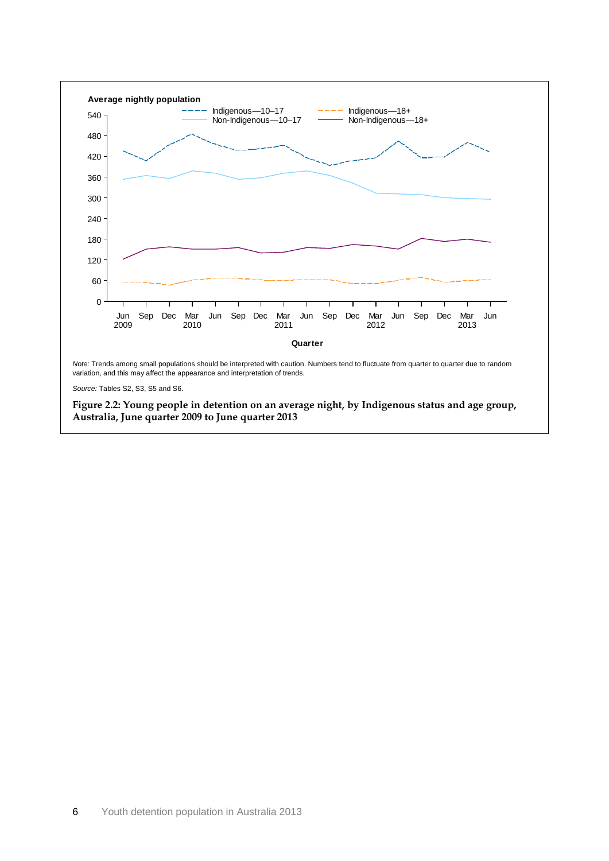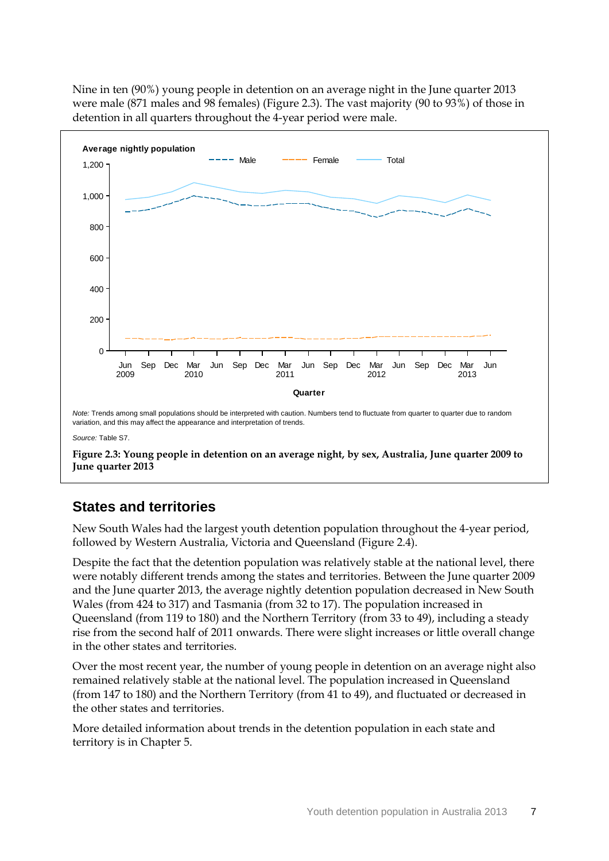Nine in ten (90%) young people in detention on an average night in the June quarter 2013 were male (871 males and 98 females) (Figure 2.3). The vast majority (90 to 93%) of those in detention in all quarters throughout the 4-year period were male.



### **States and territories**

New South Wales had the largest youth detention population throughout the 4-year period, followed by Western Australia, Victoria and Queensland (Figure 2.4).

Despite the fact that the detention population was relatively stable at the national level, there were notably different trends among the states and territories. Between the June quarter 2009 and the June quarter 2013, the average nightly detention population decreased in New South Wales (from 424 to 317) and Tasmania (from 32 to 17). The population increased in Queensland (from 119 to 180) and the Northern Territory (from 33 to 49), including a steady rise from the second half of 2011 onwards. There were slight increases or little overall change in the other states and territories.

Over the most recent year, the number of young people in detention on an average night also remained relatively stable at the national level. The population increased in Queensland (from 147 to 180) and the Northern Territory (from 41 to 49), and fluctuated or decreased in the other states and territories.

More detailed information about trends in the detention population in each state and territory is in Chapter 5.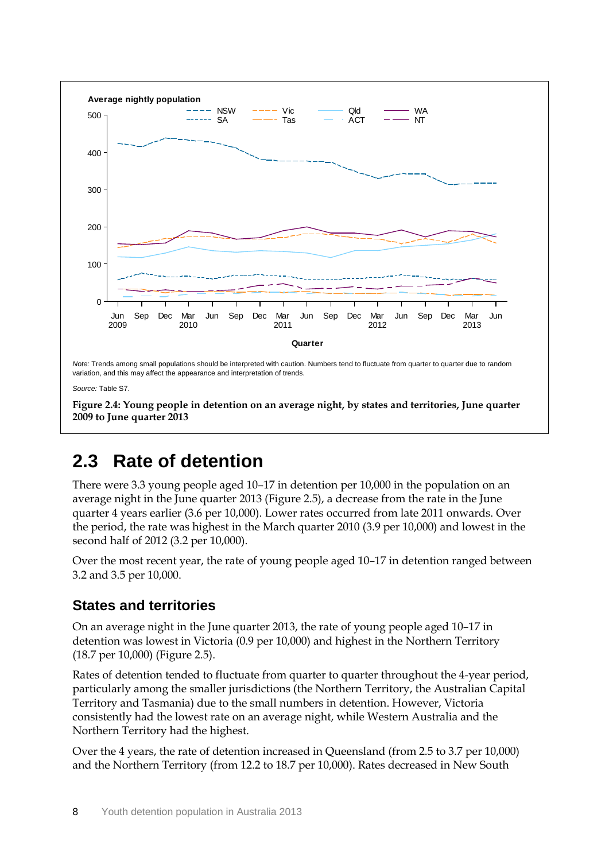

## <span id="page-16-0"></span>**2.3 Rate of detention**

There were 3.3 young people aged 10–17 in detention per 10,000 in the population on an average night in the June quarter 2013 (Figure 2.5), a decrease from the rate in the June quarter 4 years earlier (3.6 per 10,000). Lower rates occurred from late 2011 onwards. Over the period, the rate was highest in the March quarter 2010 (3.9 per 10,000) and lowest in the second half of 2012 (3.2 per 10,000).

Over the most recent year, the rate of young people aged 10–17 in detention ranged between 3.2 and 3.5 per 10,000.

### **States and territories**

On an average night in the June quarter 2013, the rate of young people aged 10–17 in detention was lowest in Victoria (0.9 per 10,000) and highest in the Northern Territory (18.7 per 10,000) (Figure 2.5).

Rates of detention tended to fluctuate from quarter to quarter throughout the 4-year period, particularly among the smaller jurisdictions (the Northern Territory, the Australian Capital Territory and Tasmania) due to the small numbers in detention. However, Victoria consistently had the lowest rate on an average night, while Western Australia and the Northern Territory had the highest.

Over the 4 years, the rate of detention increased in Queensland (from 2.5 to 3.7 per 10,000) and the Northern Territory (from 12.2 to 18.7 per 10,000). Rates decreased in New South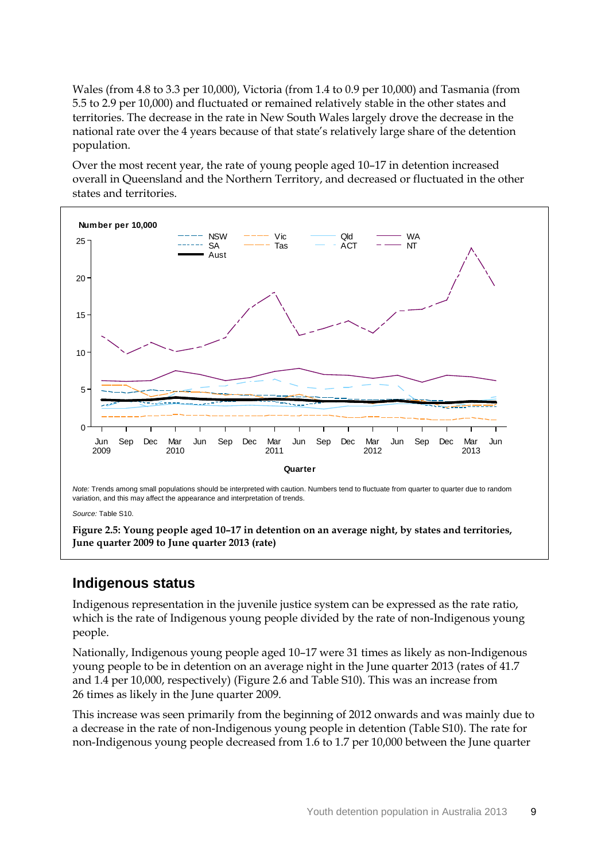Wales (from 4.8 to 3.3 per 10,000), Victoria (from 1.4 to 0.9 per 10,000) and Tasmania (from 5.5 to 2.9 per 10,000) and fluctuated or remained relatively stable in the other states and territories. The decrease in the rate in New South Wales largely drove the decrease in the national rate over the 4 years because of that state's relatively large share of the detention population.

Over the most recent year, the rate of young people aged 10–17 in detention increased overall in Queensland and the Northern Territory, and decreased or fluctuated in the other states and territories.



**Figure 2.5: Young people aged 10–17 in detention on an average night, by states and territories, June quarter 2009 to June quarter 2013 (rate)**

#### **Indigenous status**

Indigenous representation in the juvenile justice system can be expressed as the rate ratio, which is the rate of Indigenous young people divided by the rate of non-Indigenous young people.

Nationally, Indigenous young people aged 10–17 were 31 times as likely as non-Indigenous young people to be in detention on an average night in the June quarter 2013 (rates of 41.7 and 1.4 per 10,000, respectively) (Figure 2.6 and Table S10). This was an increase from 26 times as likely in the June quarter 2009.

This increase was seen primarily from the beginning of 2012 onwards and was mainly due to a decrease in the rate of non-Indigenous young people in detention (Table S10). The rate for non-Indigenous young people decreased from 1.6 to 1.7 per 10,000 between the June quarter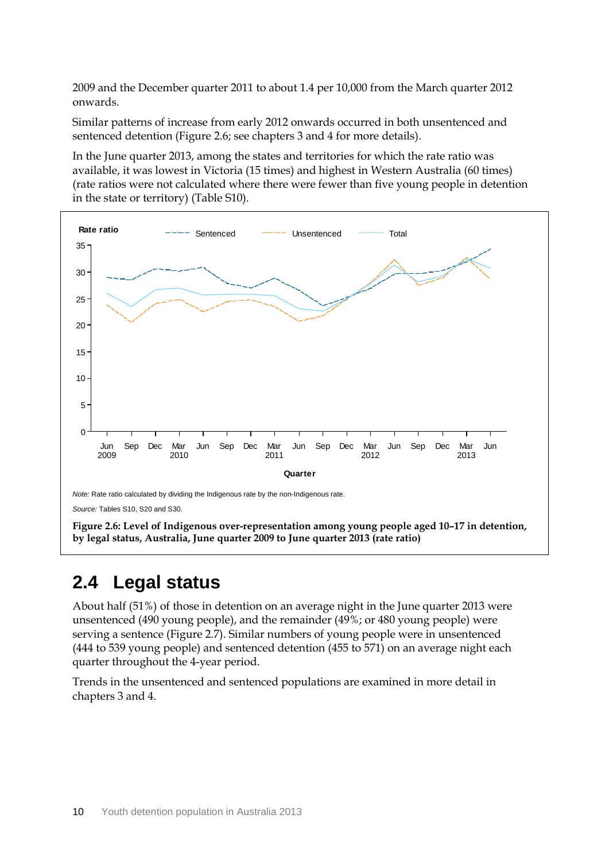2009 and the December quarter 2011 to about 1.4 per 10,000 from the March quarter 2012 onwards.

Similar patterns of increase from early 2012 onwards occurred in both unsentenced and sentenced detention (Figure 2.6; see chapters 3 and 4 for more details).

In the June quarter 2013, among the states and territories for which the rate ratio was available, it was lowest in Victoria (15 times) and highest in Western Australia (60 times) (rate ratios were not calculated where there were fewer than five young people in detention in the state or territory) (Table S10).



### <span id="page-18-0"></span>**2.4 Legal status**

About half (51%) of those in detention on an average night in the June quarter 2013 were unsentenced (490 young people), and the remainder (49%; or 480 young people) were serving a sentence (Figure 2.7). Similar numbers of young people were in unsentenced (444 to 539 young people) and sentenced detention (455 to 571) on an average night each quarter throughout the 4-year period.

Trends in the unsentenced and sentenced populations are examined in more detail in chapters 3 and 4.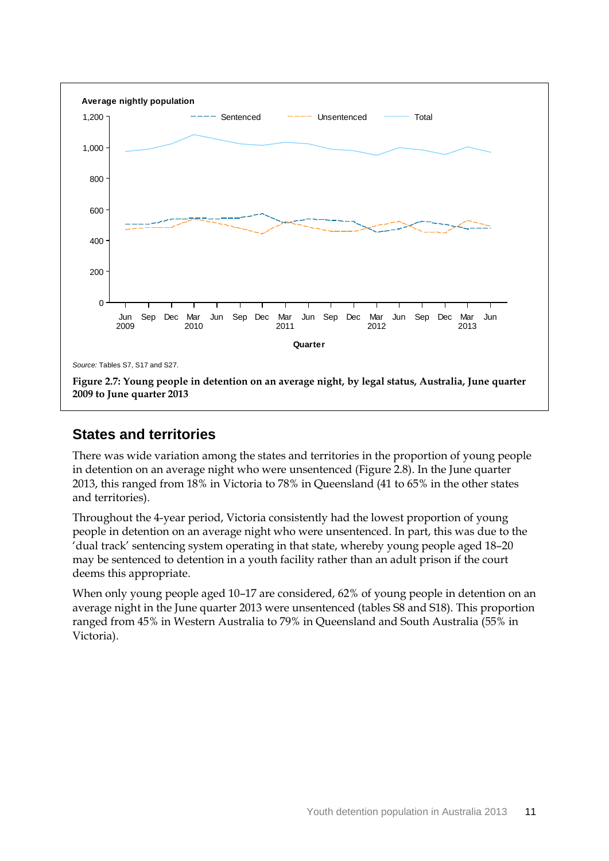

**2009 to June quarter 2013**

### **States and territories**

There was wide variation among the states and territories in the proportion of young people in detention on an average night who were unsentenced (Figure 2.8). In the June quarter 2013, this ranged from 18% in Victoria to 78% in Queensland (41 to 65% in the other states and territories).

Throughout the 4-year period, Victoria consistently had the lowest proportion of young people in detention on an average night who were unsentenced. In part, this was due to the 'dual track' sentencing system operating in that state, whereby young people aged 18–20 may be sentenced to detention in a youth facility rather than an adult prison if the court deems this appropriate.

When only young people aged 10–17 are considered, 62% of young people in detention on an average night in the June quarter 2013 were unsentenced (tables S8 and S18). This proportion ranged from 45% in Western Australia to 79% in Queensland and South Australia (55% in Victoria).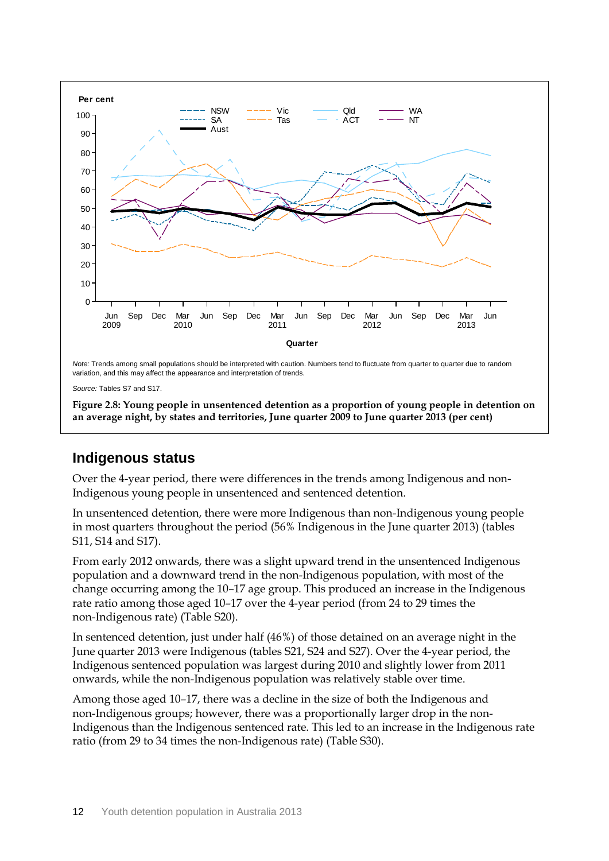

**Figure 2.8: Young people in unsentenced detention as a proportion of young people in detention on an average night, by states and territories, June quarter 2009 to June quarter 2013 (per cent)**

### **Indigenous status**

Over the 4-year period, there were differences in the trends among Indigenous and non-Indigenous young people in unsentenced and sentenced detention.

In unsentenced detention, there were more Indigenous than non-Indigenous young people in most quarters throughout the period (56% Indigenous in the June quarter 2013) (tables S11, S14 and S17).

From early 2012 onwards, there was a slight upward trend in the unsentenced Indigenous population and a downward trend in the non-Indigenous population, with most of the change occurring among the 10–17 age group. This produced an increase in the Indigenous rate ratio among those aged 10–17 over the 4-year period (from 24 to 29 times the non-Indigenous rate) (Table S20).

In sentenced detention, just under half (46%) of those detained on an average night in the June quarter 2013 were Indigenous (tables S21, S24 and S27). Over the 4-year period, the Indigenous sentenced population was largest during 2010 and slightly lower from 2011 onwards, while the non-Indigenous population was relatively stable over time.

Among those aged 10–17, there was a decline in the size of both the Indigenous and non-Indigenous groups; however, there was a proportionally larger drop in the non-Indigenous than the Indigenous sentenced rate. This led to an increase in the Indigenous rate ratio (from 29 to 34 times the non-Indigenous rate) (Table S30).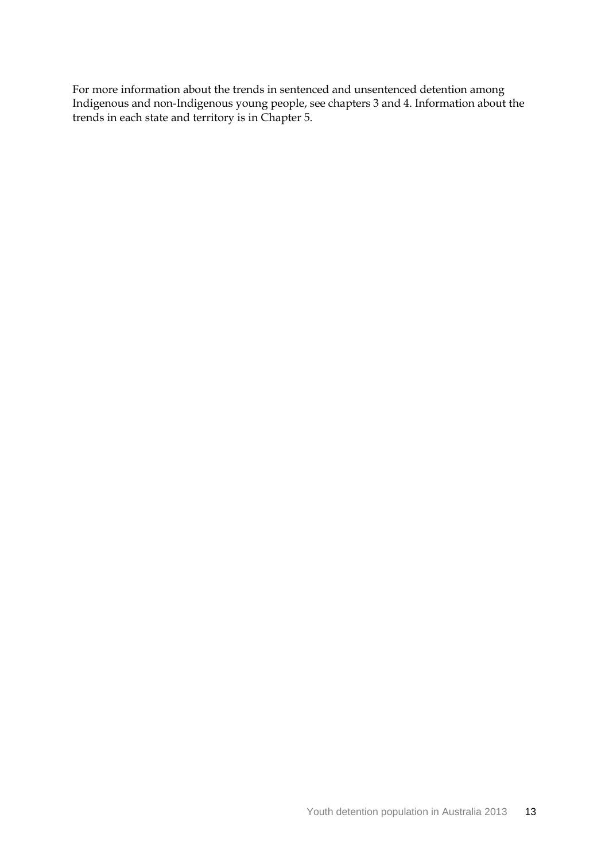For more information about the trends in sentenced and unsentenced detention among Indigenous and non-Indigenous young people, see chapters 3 and 4. Information about the trends in each state and territory is in Chapter 5.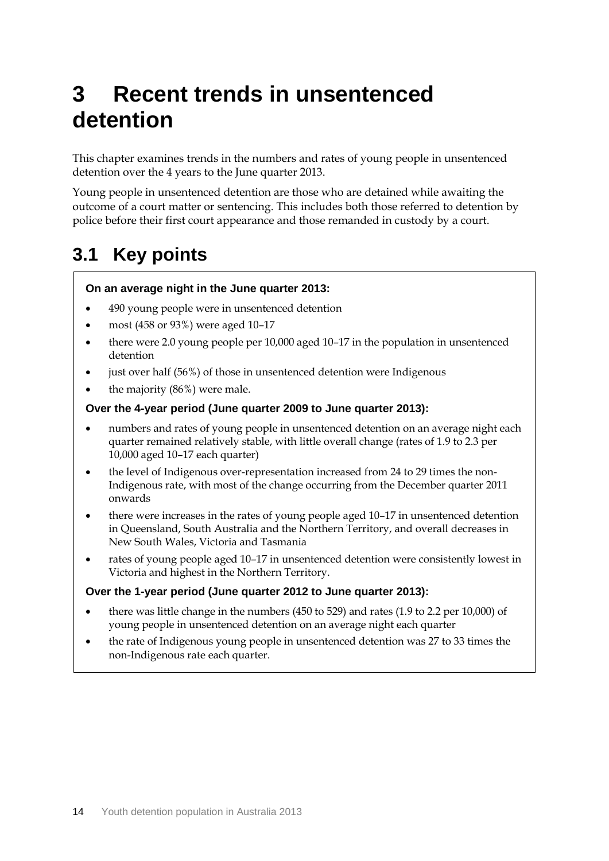# <span id="page-22-0"></span>**3 Recent trends in unsentenced detention**

This chapter examines trends in the numbers and rates of young people in unsentenced detention over the 4 years to the June quarter 2013.

Young people in unsentenced detention are those who are detained while awaiting the outcome of a court matter or sentencing. This includes both those referred to detention by police before their first court appearance and those remanded in custody by a court.

# <span id="page-22-1"></span>**3.1 Key points**

#### **On an average night in the June quarter 2013:**

- 490 young people were in unsentenced detention
- most (458 or 93%) were aged 10–17
- there were 2.0 young people per 10,000 aged 10–17 in the population in unsentenced detention
- just over half (56%) of those in unsentenced detention were Indigenous
- the majority (86%) were male.

#### **Over the 4-year period (June quarter 2009 to June quarter 2013):**

- numbers and rates of young people in unsentenced detention on an average night each quarter remained relatively stable, with little overall change (rates of 1.9 to 2.3 per 10,000 aged 10–17 each quarter)
- the level of Indigenous over-representation increased from 24 to 29 times the non-Indigenous rate, with most of the change occurring from the December quarter 2011 onwards
- there were increases in the rates of young people aged 10–17 in unsentenced detention in Queensland, South Australia and the Northern Territory, and overall decreases in New South Wales, Victoria and Tasmania
- rates of young people aged 10–17 in unsentenced detention were consistently lowest in Victoria and highest in the Northern Territory.

#### **Over the 1-year period (June quarter 2012 to June quarter 2013):**

- there was little change in the numbers (450 to 529) and rates (1.9 to 2.2 per 10,000) of young people in unsentenced detention on an average night each quarter
- the rate of Indigenous young people in unsentenced detention was 27 to 33 times the non-Indigenous rate each quarter.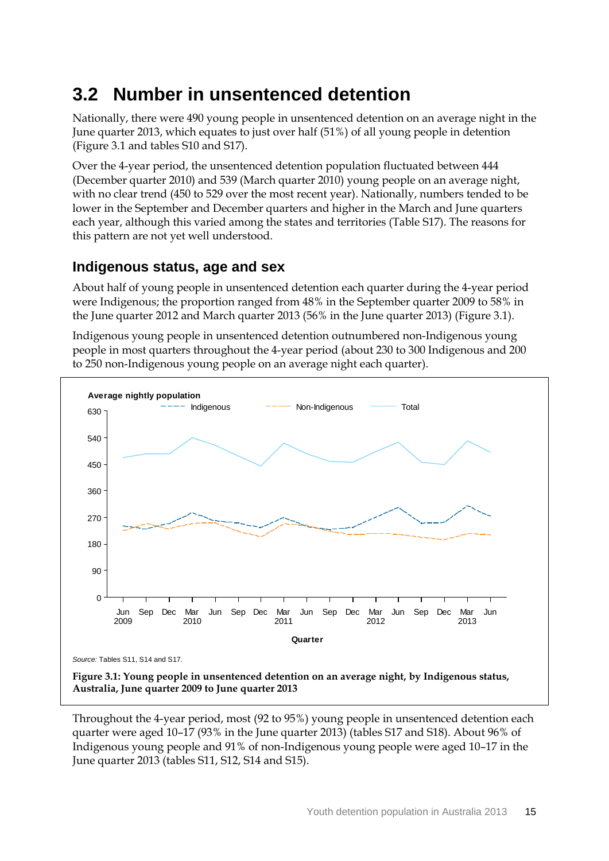## <span id="page-23-0"></span>**3.2 Number in unsentenced detention**

Nationally, there were 490 young people in unsentenced detention on an average night in the June quarter 2013, which equates to just over half (51%) of all young people in detention (Figure 3.1 and tables S10 and S17).

Over the 4-year period, the unsentenced detention population fluctuated between 444 (December quarter 2010) and 539 (March quarter 2010) young people on an average night, with no clear trend (450 to 529 over the most recent year). Nationally, numbers tended to be lower in the September and December quarters and higher in the March and June quarters each year, although this varied among the states and territories (Table S17). The reasons for this pattern are not yet well understood.

### **Indigenous status, age and sex**

About half of young people in unsentenced detention each quarter during the 4-year period were Indigenous; the proportion ranged from 48% in the September quarter 2009 to 58% in the June quarter 2012 and March quarter 2013 (56% in the June quarter 2013) (Figure 3.1).

Indigenous young people in unsentenced detention outnumbered non-Indigenous young people in most quarters throughout the 4-year period (about 230 to 300 Indigenous and 200 to 250 non-Indigenous young people on an average night each quarter).



**Australia, June quarter 2009 to June quarter 2013**

Throughout the 4-year period, most (92 to 95%) young people in unsentenced detention each quarter were aged 10–17 (93% in the June quarter 2013) (tables S17 and S18). About 96% of Indigenous young people and 91% of non-Indigenous young people were aged 10–17 in the June quarter 2013 (tables S11, S12, S14 and S15).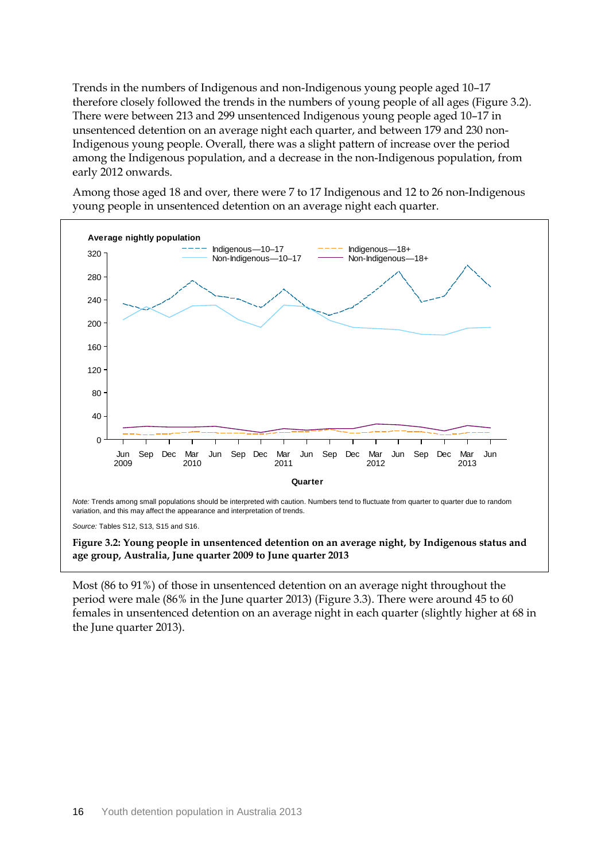Trends in the numbers of Indigenous and non-Indigenous young people aged 10–17 therefore closely followed the trends in the numbers of young people of all ages (Figure 3.2). There were between 213 and 299 unsentenced Indigenous young people aged 10–17 in unsentenced detention on an average night each quarter, and between 179 and 230 non-Indigenous young people. Overall, there was a slight pattern of increase over the period among the Indigenous population, and a decrease in the non-Indigenous population, from early 2012 onwards.

Among those aged 18 and over, there were 7 to 17 Indigenous and 12 to 26 non-Indigenous young people in unsentenced detention on an average night each quarter.



**Figure 3.2: Young people in unsentenced detention on an average night, by Indigenous status and age group, Australia, June quarter 2009 to June quarter 2013**

Most (86 to 91%) of those in unsentenced detention on an average night throughout the period were male (86% in the June quarter 2013) (Figure 3.3). There were around 45 to 60 females in unsentenced detention on an average night in each quarter (slightly higher at 68 in the June quarter 2013).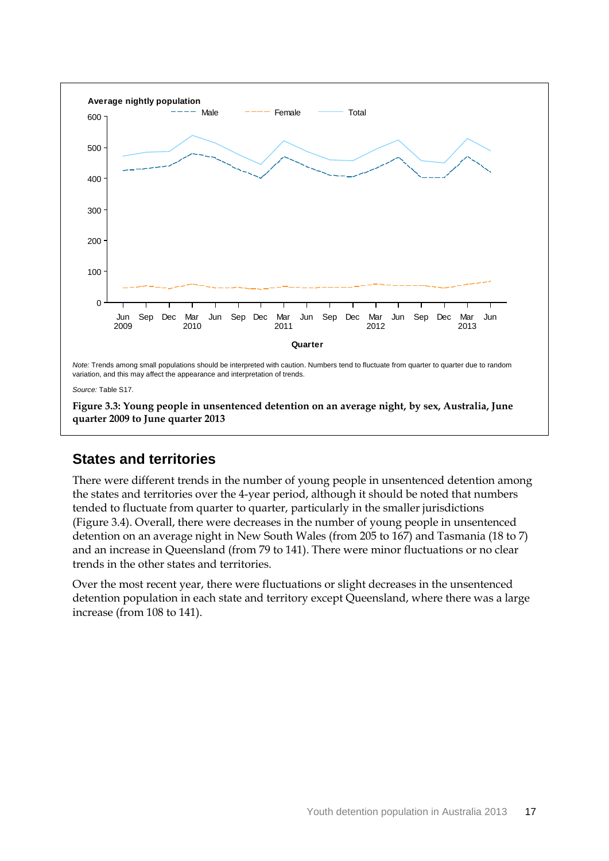

### **States and territories**

There were different trends in the number of young people in unsentenced detention among the states and territories over the 4-year period, although it should be noted that numbers tended to fluctuate from quarter to quarter, particularly in the smaller jurisdictions (Figure 3.4). Overall, there were decreases in the number of young people in unsentenced detention on an average night in New South Wales (from 205 to 167) and Tasmania (18 to 7) and an increase in Queensland (from 79 to 141). There were minor fluctuations or no clear trends in the other states and territories.

Over the most recent year, there were fluctuations or slight decreases in the unsentenced detention population in each state and territory except Queensland, where there was a large increase (from 108 to 141).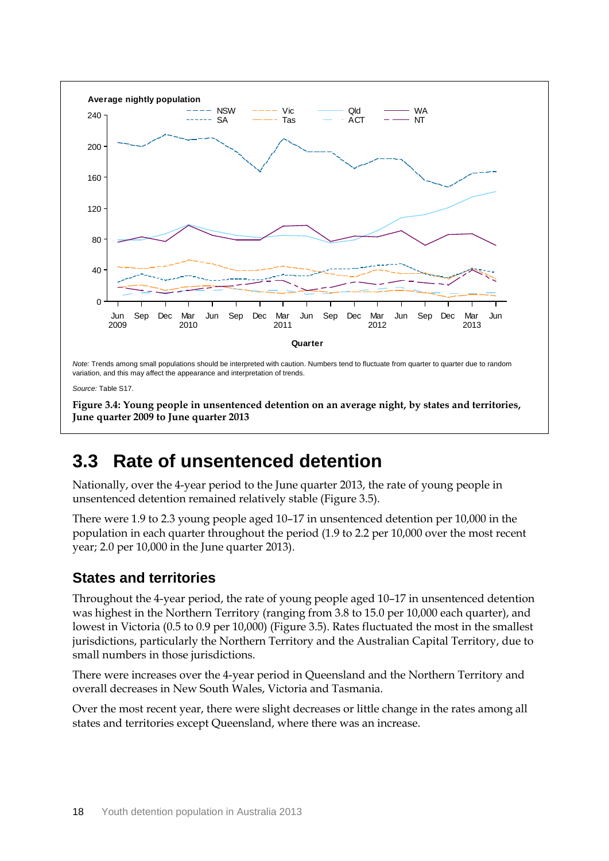

## <span id="page-26-0"></span>**3.3 Rate of unsentenced detention**

Nationally, over the 4-year period to the June quarter 2013, the rate of young people in unsentenced detention remained relatively stable (Figure 3.5).

There were 1.9 to 2.3 young people aged 10–17 in unsentenced detention per 10,000 in the population in each quarter throughout the period (1.9 to 2.2 per 10,000 over the most recent year; 2.0 per 10,000 in the June quarter 2013).

### **States and territories**

Throughout the 4-year period, the rate of young people aged 10–17 in unsentenced detention was highest in the Northern Territory (ranging from 3.8 to 15.0 per 10,000 each quarter), and lowest in Victoria (0.5 to 0.9 per 10,000) (Figure 3.5). Rates fluctuated the most in the smallest jurisdictions, particularly the Northern Territory and the Australian Capital Territory, due to small numbers in those jurisdictions.

There were increases over the 4-year period in Queensland and the Northern Territory and overall decreases in New South Wales, Victoria and Tasmania.

Over the most recent year, there were slight decreases or little change in the rates among all states and territories except Queensland, where there was an increase.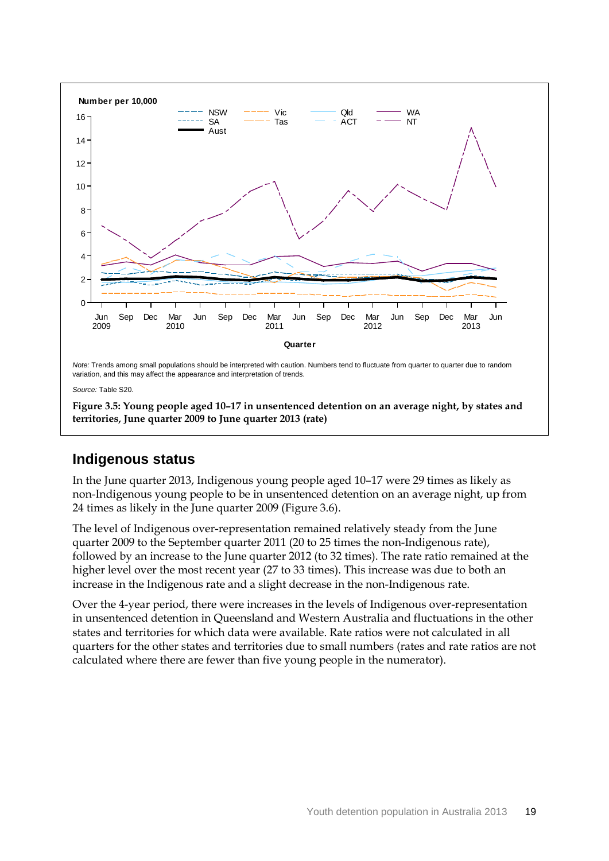

*Source:* Table S20.

**Figure 3.5: Young people aged 10–17 in unsentenced detention on an average night, by states and territories, June quarter 2009 to June quarter 2013 (rate)**

#### **Indigenous status**

In the June quarter 2013, Indigenous young people aged 10–17 were 29 times as likely as non-Indigenous young people to be in unsentenced detention on an average night, up from 24 times as likely in the June quarter 2009 (Figure 3.6).

The level of Indigenous over-representation remained relatively steady from the June quarter 2009 to the September quarter 2011 (20 to 25 times the non-Indigenous rate), followed by an increase to the June quarter 2012 (to 32 times). The rate ratio remained at the higher level over the most recent year (27 to 33 times). This increase was due to both an increase in the Indigenous rate and a slight decrease in the non-Indigenous rate.

Over the 4-year period, there were increases in the levels of Indigenous over-representation in unsentenced detention in Queensland and Western Australia and fluctuations in the other states and territories for which data were available. Rate ratios were not calculated in all quarters for the other states and territories due to small numbers (rates and rate ratios are not calculated where there are fewer than five young people in the numerator).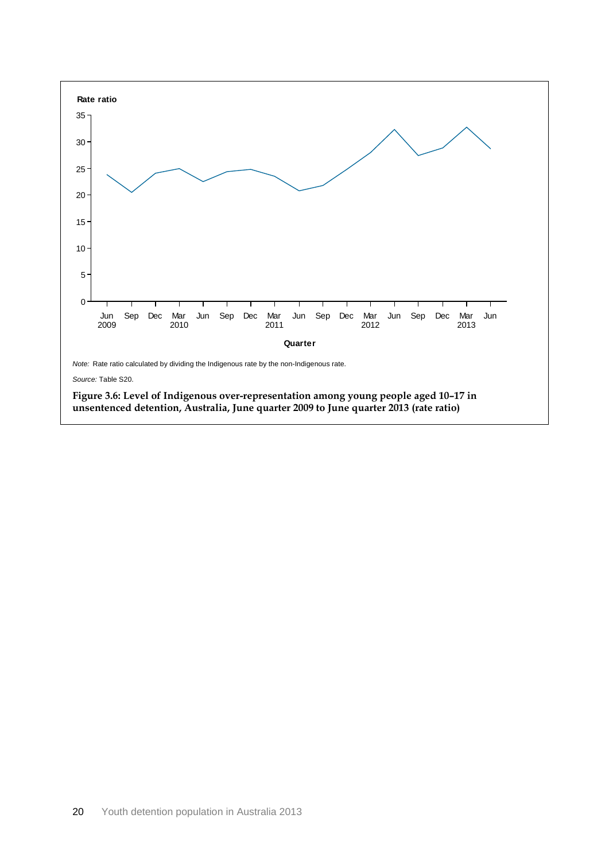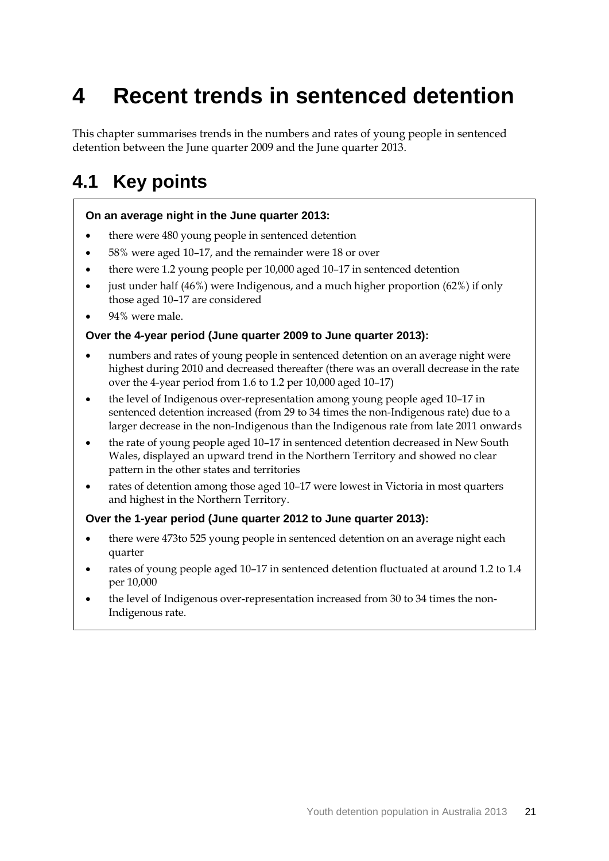# <span id="page-29-0"></span>**4 Recent trends in sentenced detention**

This chapter summarises trends in the numbers and rates of young people in sentenced detention between the June quarter 2009 and the June quarter 2013.

### <span id="page-29-1"></span>**4.1 Key points**

#### **On an average night in the June quarter 2013:**

- there were 480 young people in sentenced detention
- 58% were aged 10–17, and the remainder were 18 or over
- there were 1.2 young people per 10,000 aged 10–17 in sentenced detention
- just under half (46%) were Indigenous, and a much higher proportion (62%) if only those aged 10–17 are considered
- 94% were male.

#### **Over the 4-year period (June quarter 2009 to June quarter 2013):**

- numbers and rates of young people in sentenced detention on an average night were highest during 2010 and decreased thereafter (there was an overall decrease in the rate over the 4-year period from 1.6 to 1.2 per 10,000 aged 10–17)
- the level of Indigenous over-representation among young people aged 10–17 in sentenced detention increased (from 29 to 34 times the non-Indigenous rate) due to a larger decrease in the non-Indigenous than the Indigenous rate from late 2011 onwards
- the rate of young people aged 10–17 in sentenced detention decreased in New South Wales, displayed an upward trend in the Northern Territory and showed no clear pattern in the other states and territories
- rates of detention among those aged 10–17 were lowest in Victoria in most quarters and highest in the Northern Territory.

#### **Over the 1-year period (June quarter 2012 to June quarter 2013):**

- there were 473to 525 young people in sentenced detention on an average night each quarter
- rates of young people aged 10–17 in sentenced detention fluctuated at around 1.2 to 1.4 per 10,000
- the level of Indigenous over-representation increased from 30 to 34 times the non-Indigenous rate.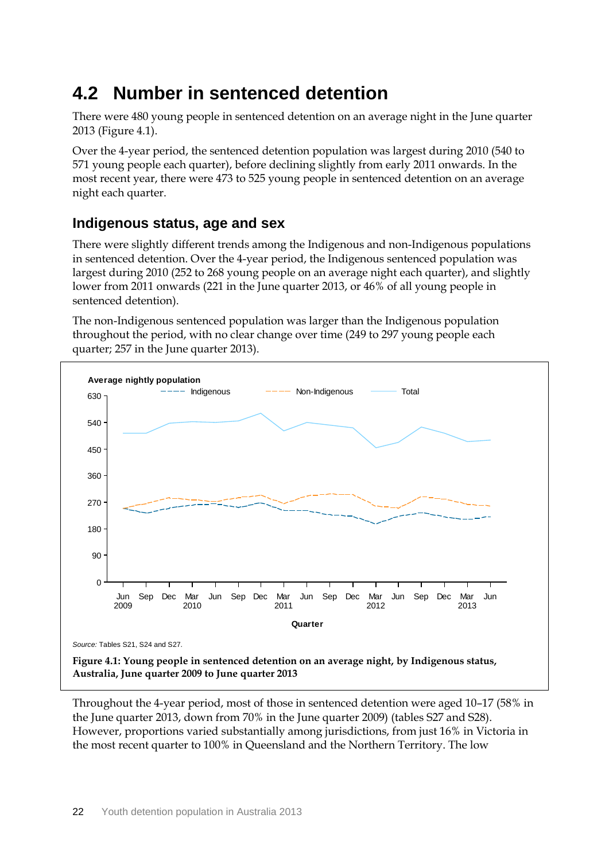## <span id="page-30-0"></span>**4.2 Number in sentenced detention**

There were 480 young people in sentenced detention on an average night in the June quarter 2013 (Figure 4.1).

Over the 4-year period, the sentenced detention population was largest during 2010 (540 to 571 young people each quarter), before declining slightly from early 2011 onwards. In the most recent year, there were 473 to 525 young people in sentenced detention on an average night each quarter.

### **Indigenous status, age and sex**

There were slightly different trends among the Indigenous and non-Indigenous populations in sentenced detention. Over the 4-year period, the Indigenous sentenced population was largest during 2010 (252 to 268 young people on an average night each quarter), and slightly lower from 2011 onwards (221 in the June quarter 2013, or 46% of all young people in sentenced detention).

The non-Indigenous sentenced population was larger than the Indigenous population throughout the period, with no clear change over time (249 to 297 young people each quarter; 257 in the June quarter 2013).



Throughout the 4-year period, most of those in sentenced detention were aged 10–17 (58% in the June quarter 2013, down from 70% in the June quarter 2009) (tables S27 and S28). However, proportions varied substantially among jurisdictions, from just 16% in Victoria in the most recent quarter to 100% in Queensland and the Northern Territory. The low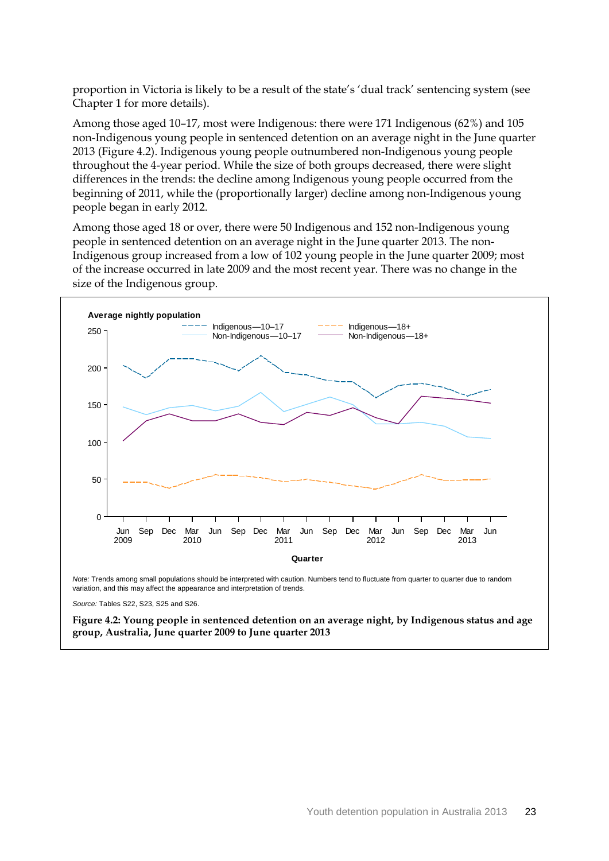proportion in Victoria is likely to be a result of the state's 'dual track' sentencing system (see Chapter 1 for more details).

Among those aged 10–17, most were Indigenous: there were 171 Indigenous (62%) and 105 non-Indigenous young people in sentenced detention on an average night in the June quarter 2013 (Figure 4.2). Indigenous young people outnumbered non-Indigenous young people throughout the 4-year period. While the size of both groups decreased, there were slight differences in the trends: the decline among Indigenous young people occurred from the beginning of 2011, while the (proportionally larger) decline among non-Indigenous young people began in early 2012.

Among those aged 18 or over, there were 50 Indigenous and 152 non-Indigenous young people in sentenced detention on an average night in the June quarter 2013. The non-Indigenous group increased from a low of 102 young people in the June quarter 2009; most of the increase occurred in late 2009 and the most recent year. There was no change in the size of the Indigenous group.



*Source:* Tables S22, S23, S25 and S26.

**Figure 4.2: Young people in sentenced detention on an average night, by Indigenous status and age group, Australia, June quarter 2009 to June quarter 2013**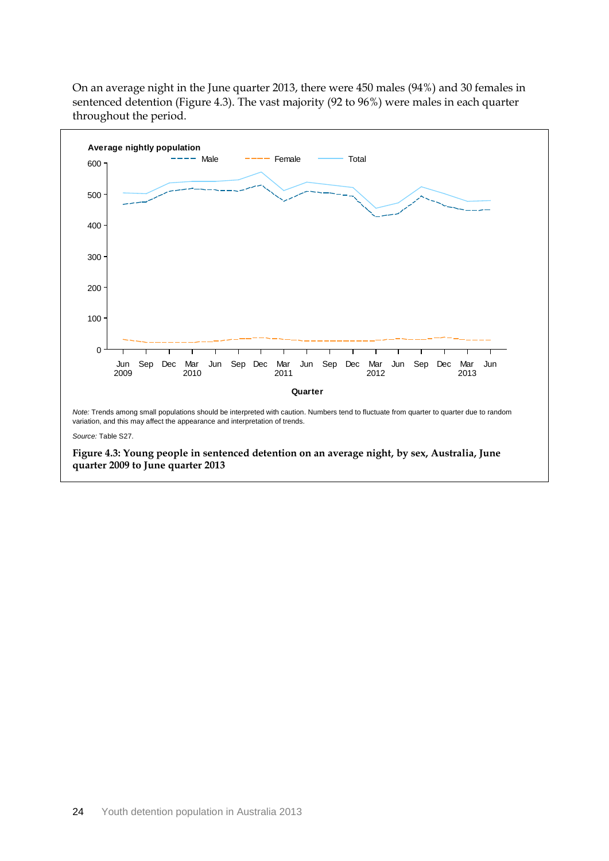On an average night in the June quarter 2013, there were 450 males (94%) and 30 females in sentenced detention (Figure 4.3). The vast majority (92 to 96%) were males in each quarter throughout the period.

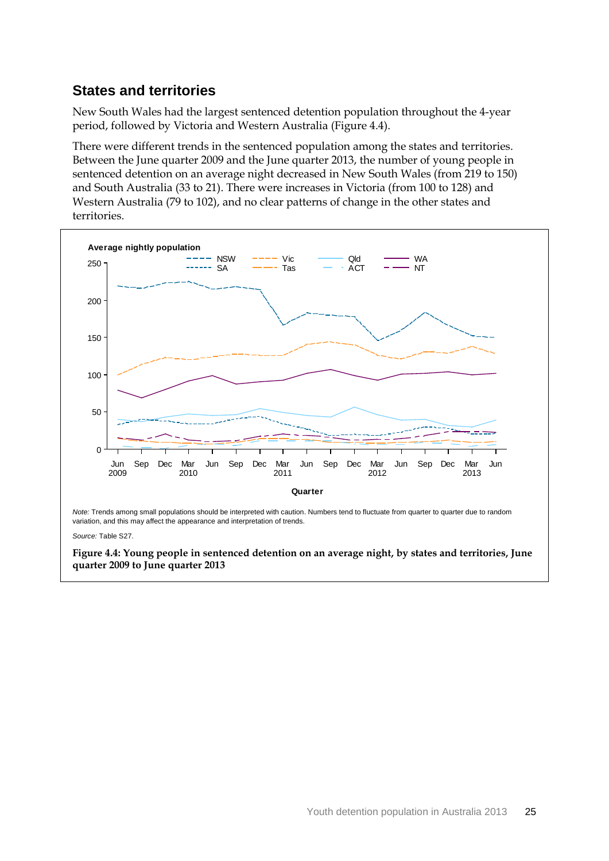### **States and territories**

New South Wales had the largest sentenced detention population throughout the 4-year period, followed by Victoria and Western Australia (Figure 4.4).

There were different trends in the sentenced population among the states and territories. Between the June quarter 2009 and the June quarter 2013, the number of young people in sentenced detention on an average night decreased in New South Wales (from 219 to 150) and South Australia (33 to 21). There were increases in Victoria (from 100 to 128) and Western Australia (79 to 102), and no clear patterns of change in the other states and territories.



**Figure 4.4: Young people in sentenced detention on an average night, by states and territories, June quarter 2009 to June quarter 2013**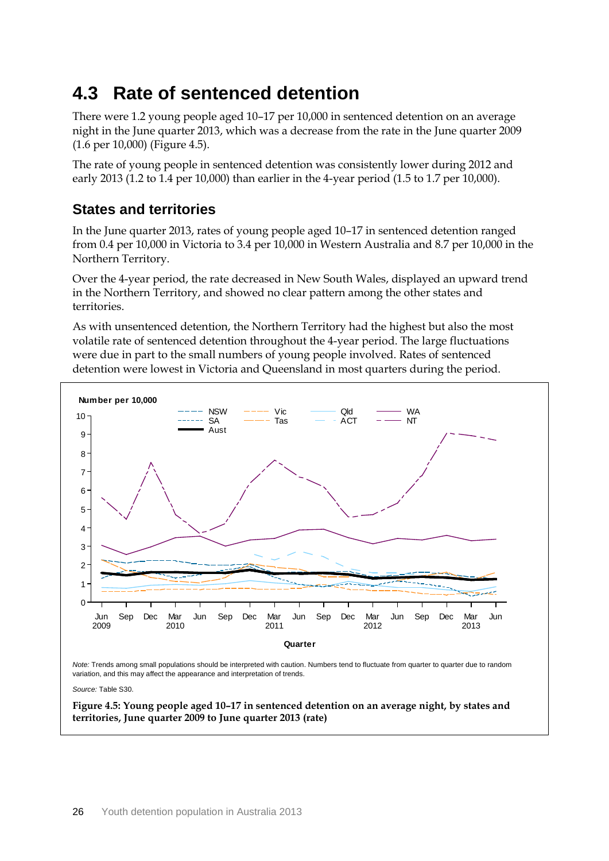## <span id="page-34-0"></span>**4.3 Rate of sentenced detention**

There were 1.2 young people aged 10–17 per 10,000 in sentenced detention on an average night in the June quarter 2013, which was a decrease from the rate in the June quarter 2009 (1.6 per 10,000) (Figure 4.5).

The rate of young people in sentenced detention was consistently lower during 2012 and early 2013 (1.2 to 1.4 per 10,000) than earlier in the 4-year period (1.5 to 1.7 per 10,000).

### **States and territories**

In the June quarter 2013, rates of young people aged 10–17 in sentenced detention ranged from 0.4 per 10,000 in Victoria to 3.4 per 10,000 in Western Australia and 8.7 per 10,000 in the Northern Territory.

Over the 4-year period, the rate decreased in New South Wales, displayed an upward trend in the Northern Territory, and showed no clear pattern among the other states and territories.

As with unsentenced detention, the Northern Territory had the highest but also the most volatile rate of sentenced detention throughout the 4-year period. The large fluctuations were due in part to the small numbers of young people involved. Rates of sentenced detention were lowest in Victoria and Queensland in most quarters during the period.



*Note:* Trends among small populations should be interpreted with caution. Numbers tend to fluctuate from quarter to quarter due to random variation, and this may affect the appearance and interpretation of trends.

*Source:* Table S30.

**Figure 4.5: Young people aged 10–17 in sentenced detention on an average night, by states and territories, June quarter 2009 to June quarter 2013 (rate)**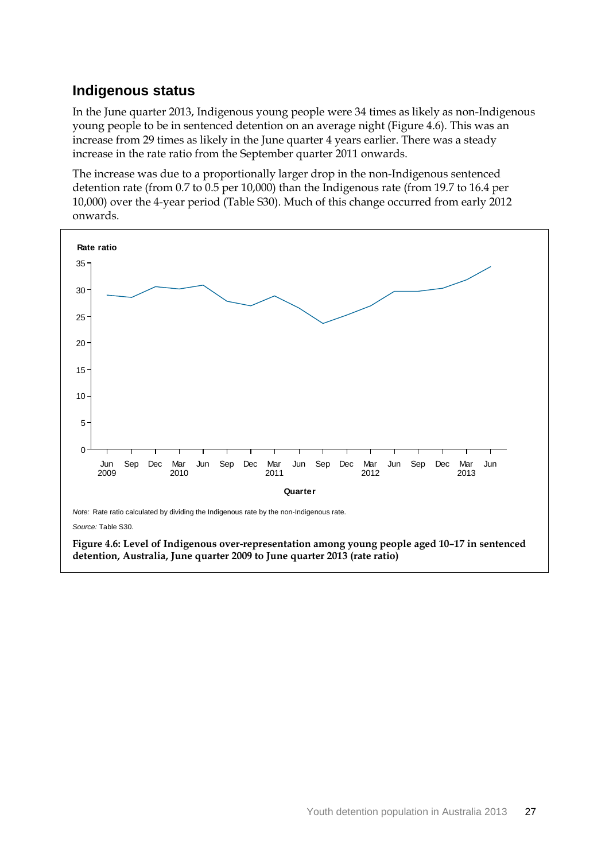### **Indigenous status**

In the June quarter 2013, Indigenous young people were 34 times as likely as non-Indigenous young people to be in sentenced detention on an average night (Figure 4.6). This was an increase from 29 times as likely in the June quarter 4 years earlier. There was a steady increase in the rate ratio from the September quarter 2011 onwards.

The increase was due to a proportionally larger drop in the non-Indigenous sentenced detention rate (from 0.7 to 0.5 per 10,000) than the Indigenous rate (from 19.7 to 16.4 per 10,000) over the 4-year period (Table S30). Much of this change occurred from early 2012 onwards.



**Figure 4.6: Level of Indigenous over-representation among young people aged 10–17 in sentenced detention, Australia, June quarter 2009 to June quarter 2013 (rate ratio)**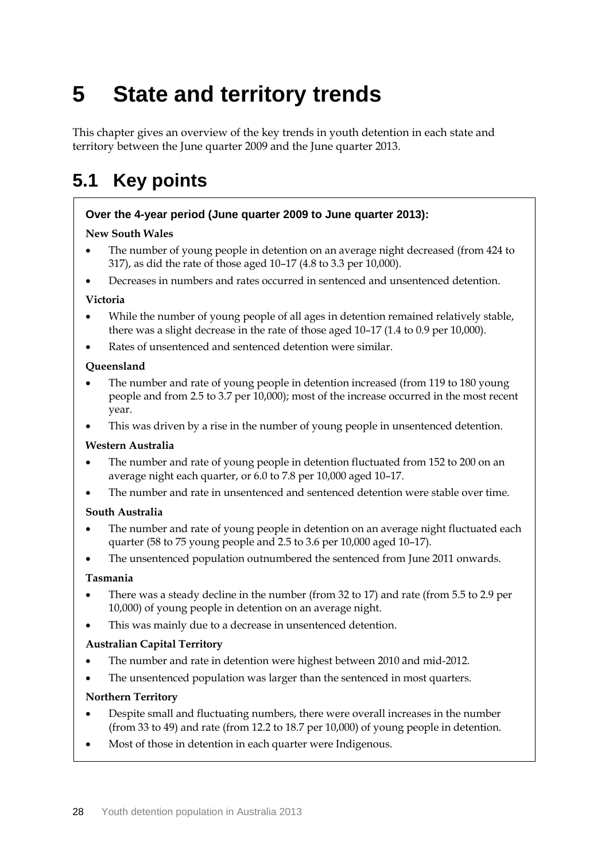# **5 State and territory trends**

This chapter gives an overview of the key trends in youth detention in each state and territory between the June quarter 2009 and the June quarter 2013.

# **5.1 Key points**

#### **Over the 4-year period (June quarter 2009 to June quarter 2013):**

#### **New South Wales**

- The number of young people in detention on an average night decreased (from 424 to 317), as did the rate of those aged 10–17 (4.8 to 3.3 per 10,000).
- Decreases in numbers and rates occurred in sentenced and unsentenced detention.

#### **Victoria**

- While the number of young people of all ages in detention remained relatively stable, there was a slight decrease in the rate of those aged 10–17 (1.4 to 0.9 per 10,000).
- Rates of unsentenced and sentenced detention were similar.

#### **Queensland**

- The number and rate of young people in detention increased (from 119 to 180 young people and from 2.5 to 3.7 per 10,000); most of the increase occurred in the most recent year.
- This was driven by a rise in the number of young people in unsentenced detention.

#### **Western Australia**

- The number and rate of young people in detention fluctuated from 152 to 200 on an average night each quarter, or 6.0 to 7.8 per 10,000 aged 10–17.
- The number and rate in unsentenced and sentenced detention were stable over time.

#### **South Australia**

- The number and rate of young people in detention on an average night fluctuated each quarter (58 to 75 young people and 2.5 to 3.6 per 10,000 aged 10–17).
- The unsentenced population outnumbered the sentenced from June 2011 onwards.

#### **Tasmania**

- There was a steady decline in the number (from 32 to 17) and rate (from 5.5 to 2.9 per 10,000) of young people in detention on an average night.
- This was mainly due to a decrease in unsentenced detention.

#### **Australian Capital Territory**

- The number and rate in detention were highest between 2010 and mid-2012.
- The unsentenced population was larger than the sentenced in most quarters.

#### **Northern Territory**

- Despite small and fluctuating numbers, there were overall increases in the number (from 33 to 49) and rate (from 12.2 to 18.7 per 10,000) of young people in detention.
- Most of those in detention in each quarter were Indigenous.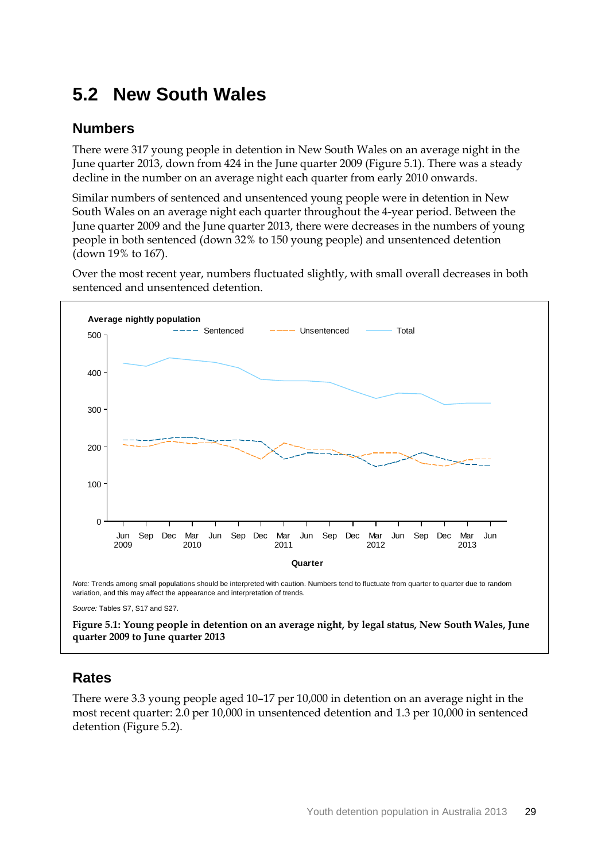# **5.2 New South Wales**

#### **Numbers**

There were 317 young people in detention in New South Wales on an average night in the June quarter 2013, down from 424 in the June quarter 2009 (Figure 5.1). There was a steady decline in the number on an average night each quarter from early 2010 onwards.

Similar numbers of sentenced and unsentenced young people were in detention in New South Wales on an average night each quarter throughout the 4-year period. Between the June quarter 2009 and the June quarter 2013, there were decreases in the numbers of young people in both sentenced (down 32% to 150 young people) and unsentenced detention (down 19% to 167).

Over the most recent year, numbers fluctuated slightly, with small overall decreases in both sentenced and unsentenced detention.



*Source:* Tables S7, S17 and S27.

**Figure 5.1: Young people in detention on an average night, by legal status, New South Wales, June quarter 2009 to June quarter 2013**

## **Rates**

There were 3.3 young people aged 10–17 per 10,000 in detention on an average night in the most recent quarter: 2.0 per 10,000 in unsentenced detention and 1.3 per 10,000 in sentenced detention (Figure 5.2).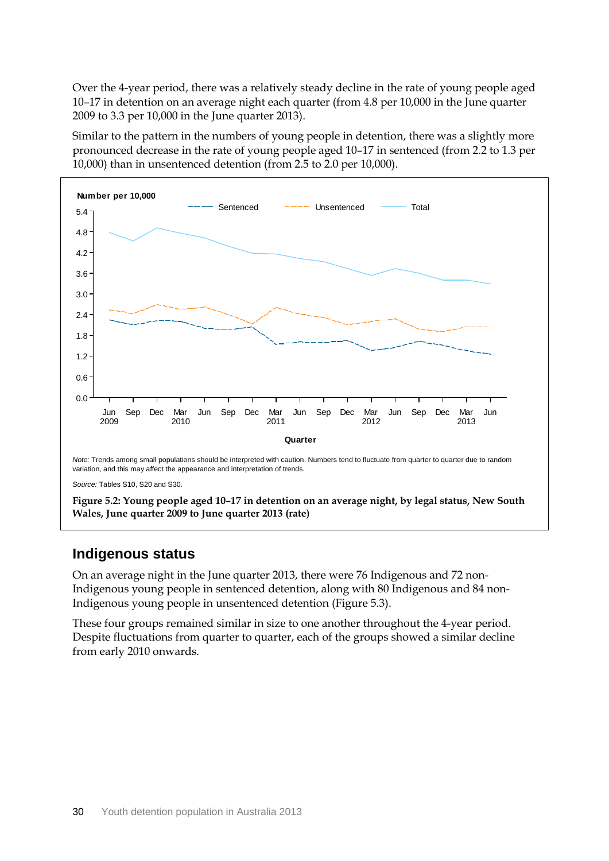Over the 4-year period, there was a relatively steady decline in the rate of young people aged 10–17 in detention on an average night each quarter (from 4.8 per 10,000 in the June quarter 2009 to 3.3 per 10,000 in the June quarter 2013).

Similar to the pattern in the numbers of young people in detention, there was a slightly more pronounced decrease in the rate of young people aged 10–17 in sentenced (from 2.2 to 1.3 per 10,000) than in unsentenced detention (from 2.5 to 2.0 per 10,000).



*Source:* Tables S10, S20 and S30.

**Figure 5.2: Young people aged 10–17 in detention on an average night, by legal status, New South Wales, June quarter 2009 to June quarter 2013 (rate)**

#### **Indigenous status**

On an average night in the June quarter 2013, there were 76 Indigenous and 72 non-Indigenous young people in sentenced detention, along with 80 Indigenous and 84 non-Indigenous young people in unsentenced detention (Figure 5.3).

These four groups remained similar in size to one another throughout the 4-year period. Despite fluctuations from quarter to quarter, each of the groups showed a similar decline from early 2010 onwards.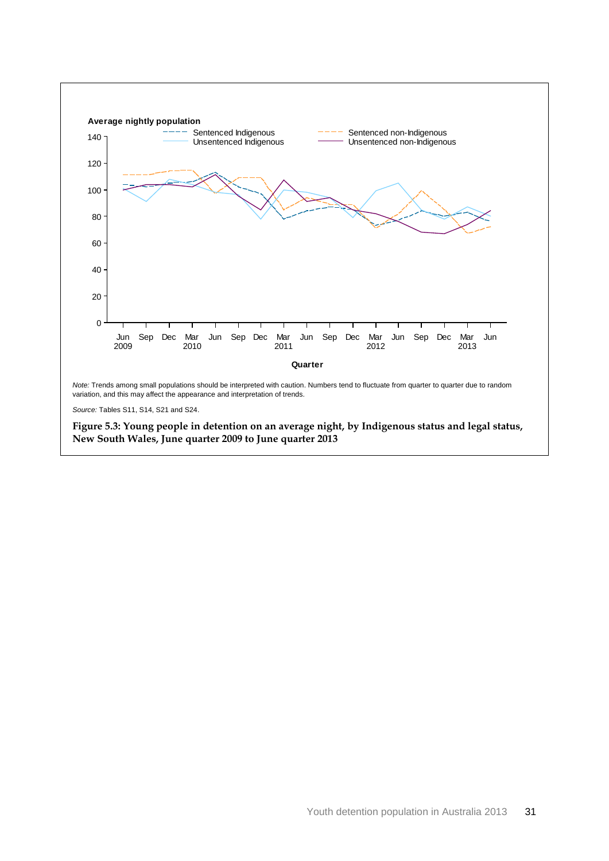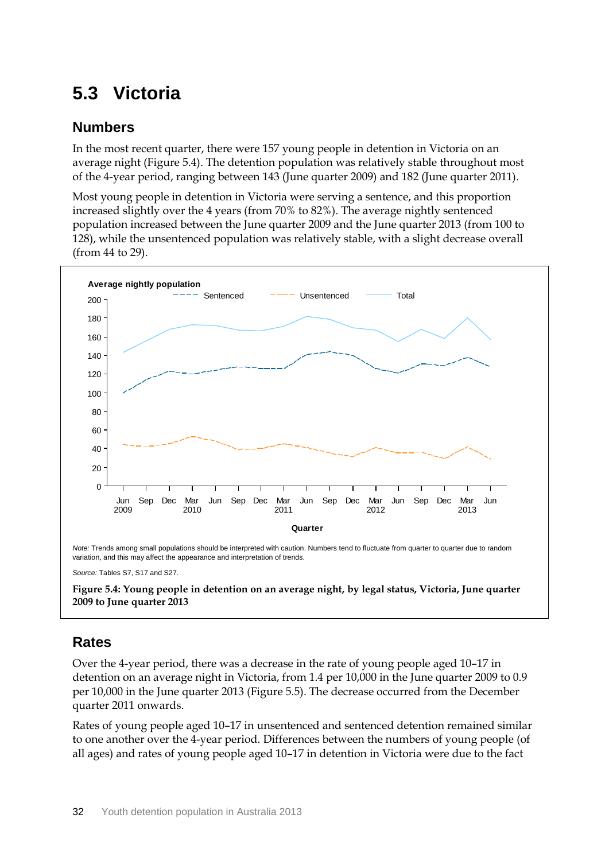# **5.3 Victoria**

#### **Numbers**

In the most recent quarter, there were 157 young people in detention in Victoria on an average night (Figure 5.4). The detention population was relatively stable throughout most of the 4-year period, ranging between 143 (June quarter 2009) and 182 (June quarter 2011).

Most young people in detention in Victoria were serving a sentence, and this proportion increased slightly over the 4 years (from 70% to 82%). The average nightly sentenced population increased between the June quarter 2009 and the June quarter 2013 (from 100 to 128), while the unsentenced population was relatively stable, with a slight decrease overall (from 44 to 29).





### **Rates**

Over the 4-year period, there was a decrease in the rate of young people aged 10–17 in detention on an average night in Victoria, from 1.4 per 10,000 in the June quarter 2009 to 0.9 per 10,000 in the June quarter 2013 (Figure 5.5). The decrease occurred from the December quarter 2011 onwards.

Rates of young people aged 10–17 in unsentenced and sentenced detention remained similar to one another over the 4-year period. Differences between the numbers of young people (of all ages) and rates of young people aged 10–17 in detention in Victoria were due to the fact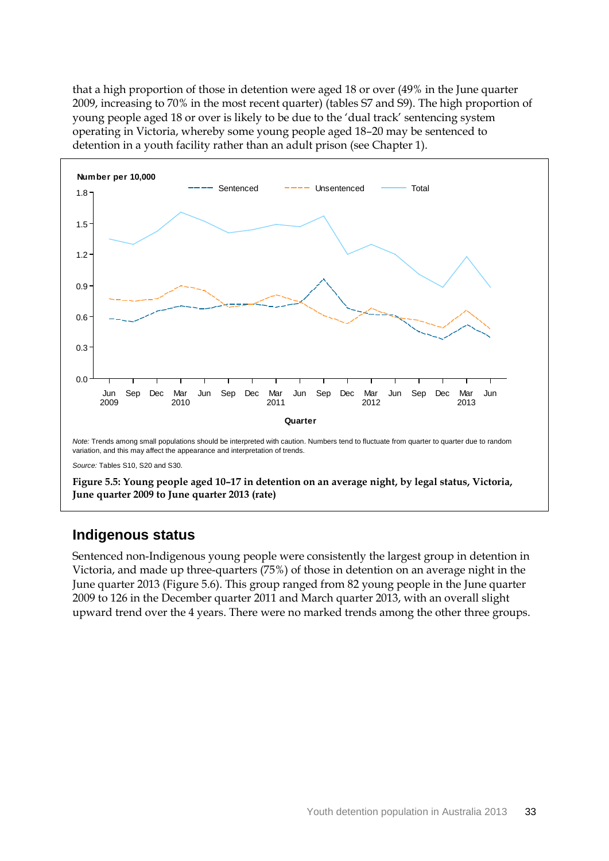that a high proportion of those in detention were aged 18 or over (49% in the June quarter 2009, increasing to 70% in the most recent quarter) (tables S7 and S9). The high proportion of young people aged 18 or over is likely to be due to the 'dual track' sentencing system operating in Victoria, whereby some young people aged 18–20 may be sentenced to detention in a youth facility rather than an adult prison (see Chapter 1).



**Figure 5.5: Young people aged 10–17 in detention on an average night, by legal status, Victoria, June quarter 2009 to June quarter 2013 (rate)**

#### **Indigenous status**

Sentenced non-Indigenous young people were consistently the largest group in detention in Victoria, and made up three-quarters (75%) of those in detention on an average night in the June quarter 2013 (Figure 5.6). This group ranged from 82 young people in the June quarter 2009 to 126 in the December quarter 2011 and March quarter 2013, with an overall slight upward trend over the 4 years. There were no marked trends among the other three groups.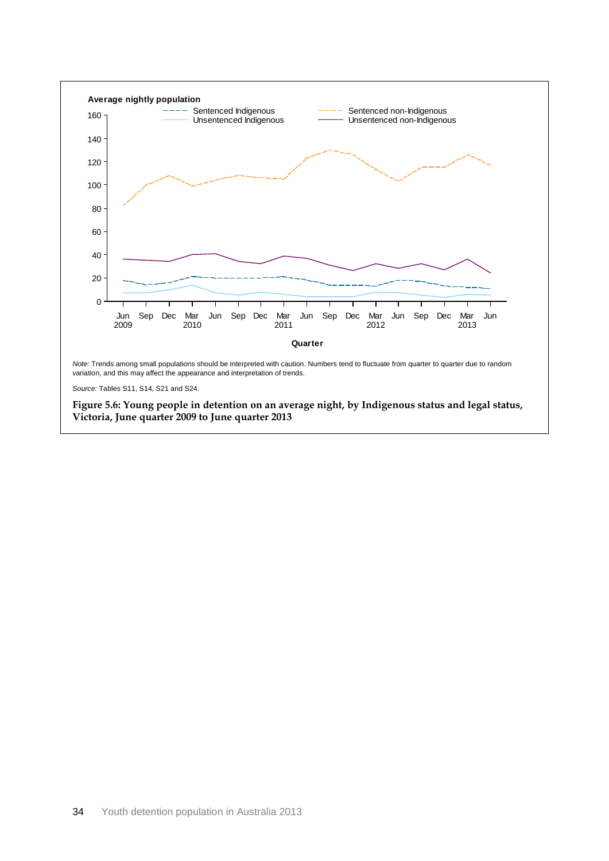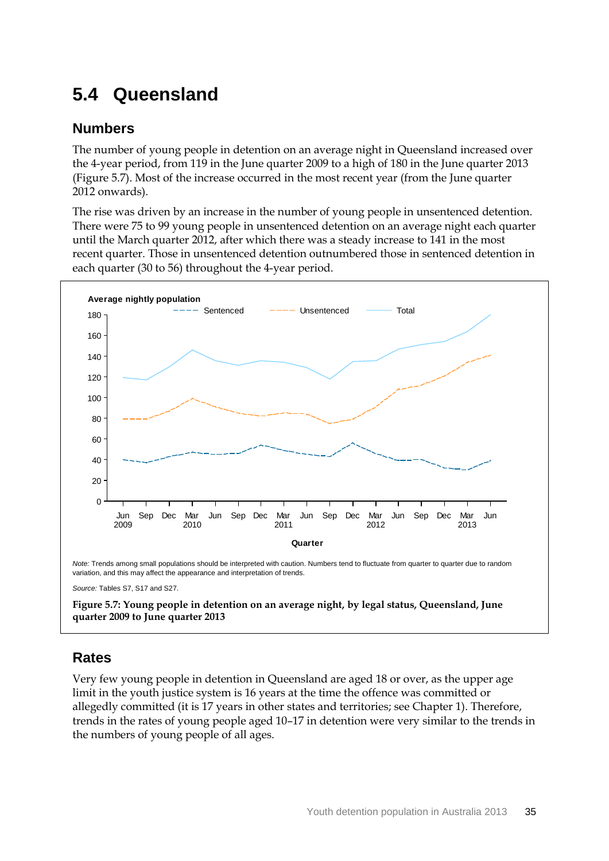# **5.4 Queensland**

#### **Numbers**

The number of young people in detention on an average night in Queensland increased over the 4-year period, from 119 in the June quarter 2009 to a high of 180 in the June quarter 2013 (Figure 5.7). Most of the increase occurred in the most recent year (from the June quarter 2012 onwards).

The rise was driven by an increase in the number of young people in unsentenced detention. There were 75 to 99 young people in unsentenced detention on an average night each quarter until the March quarter 2012, after which there was a steady increase to 141 in the most recent quarter. Those in unsentenced detention outnumbered those in sentenced detention in each quarter (30 to 56) throughout the 4-year period.



**quarter 2009 to June quarter 2013**

### **Rates**

Very few young people in detention in Queensland are aged 18 or over, as the upper age limit in the youth justice system is 16 years at the time the offence was committed or allegedly committed (it is 17 years in other states and territories; see Chapter 1). Therefore, trends in the rates of young people aged 10–17 in detention were very similar to the trends in the numbers of young people of all ages.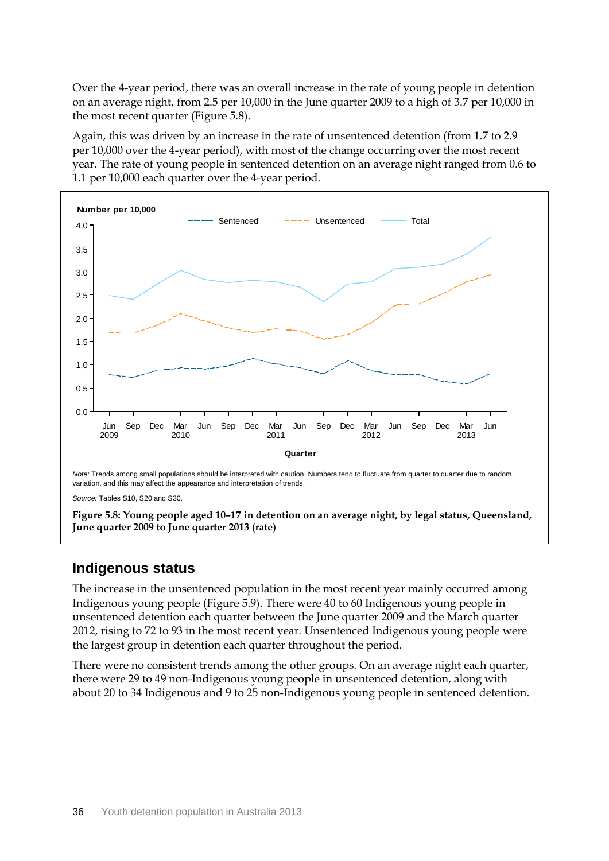Over the 4-year period, there was an overall increase in the rate of young people in detention on an average night, from 2.5 per 10,000 in the June quarter 2009 to a high of 3.7 per 10,000 in the most recent quarter (Figure 5.8).

Again, this was driven by an increase in the rate of unsentenced detention (from 1.7 to 2.9 per 10,000 over the 4-year period), with most of the change occurring over the most recent year. The rate of young people in sentenced detention on an average night ranged from 0.6 to 1.1 per 10,000 each quarter over the 4-year period.



*Source:* Tables S10, S20 and S30.

**Figure 5.8: Young people aged 10–17 in detention on an average night, by legal status, Queensland, June quarter 2009 to June quarter 2013 (rate)**

#### **Indigenous status**

The increase in the unsentenced population in the most recent year mainly occurred among Indigenous young people (Figure 5.9). There were 40 to 60 Indigenous young people in unsentenced detention each quarter between the June quarter 2009 and the March quarter 2012, rising to 72 to 93 in the most recent year. Unsentenced Indigenous young people were the largest group in detention each quarter throughout the period.

There were no consistent trends among the other groups. On an average night each quarter, there were 29 to 49 non-Indigenous young people in unsentenced detention, along with about 20 to 34 Indigenous and 9 to 25 non-Indigenous young people in sentenced detention.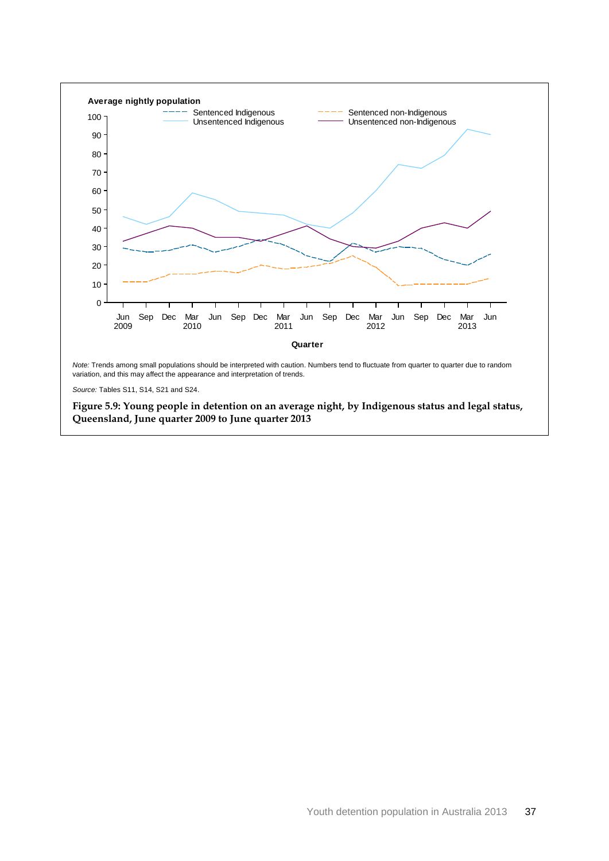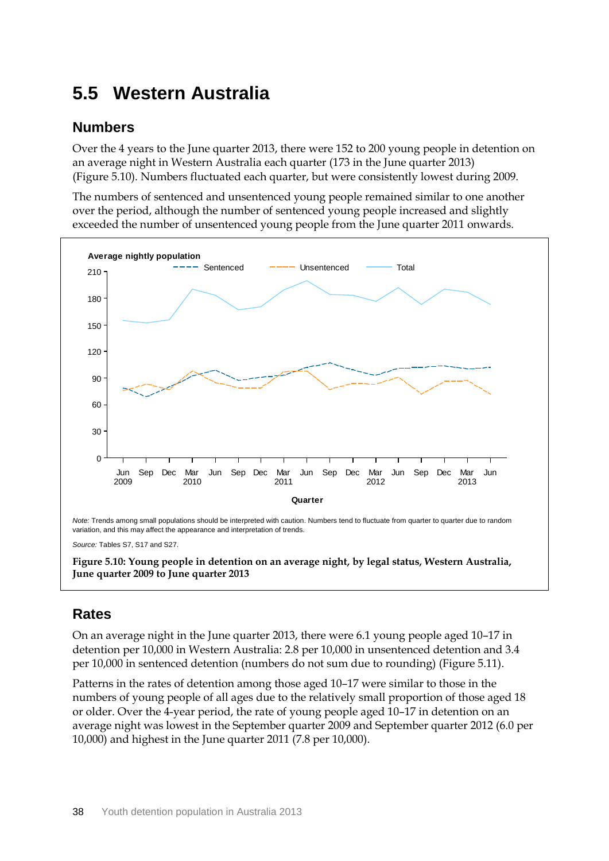# **5.5 Western Australia**

#### **Numbers**

Over the 4 years to the June quarter 2013, there were 152 to 200 young people in detention on an average night in Western Australia each quarter (173 in the June quarter 2013) (Figure 5.10). Numbers fluctuated each quarter, but were consistently lowest during 2009.

The numbers of sentenced and unsentenced young people remained similar to one another over the period, although the number of sentenced young people increased and slightly exceeded the number of unsentenced young people from the June quarter 2011 onwards.



*Source:* Tables S7, S17 and S27.

**Figure 5.10: Young people in detention on an average night, by legal status, Western Australia, June quarter 2009 to June quarter 2013**

### **Rates**

On an average night in the June quarter 2013, there were 6.1 young people aged 10–17 in detention per 10,000 in Western Australia: 2.8 per 10,000 in unsentenced detention and 3.4 per 10,000 in sentenced detention (numbers do not sum due to rounding) (Figure 5.11).

Patterns in the rates of detention among those aged 10–17 were similar to those in the numbers of young people of all ages due to the relatively small proportion of those aged 18 or older. Over the 4-year period, the rate of young people aged 10–17 in detention on an average night was lowest in the September quarter 2009 and September quarter 2012 (6.0 per 10,000) and highest in the June quarter 2011 (7.8 per 10,000).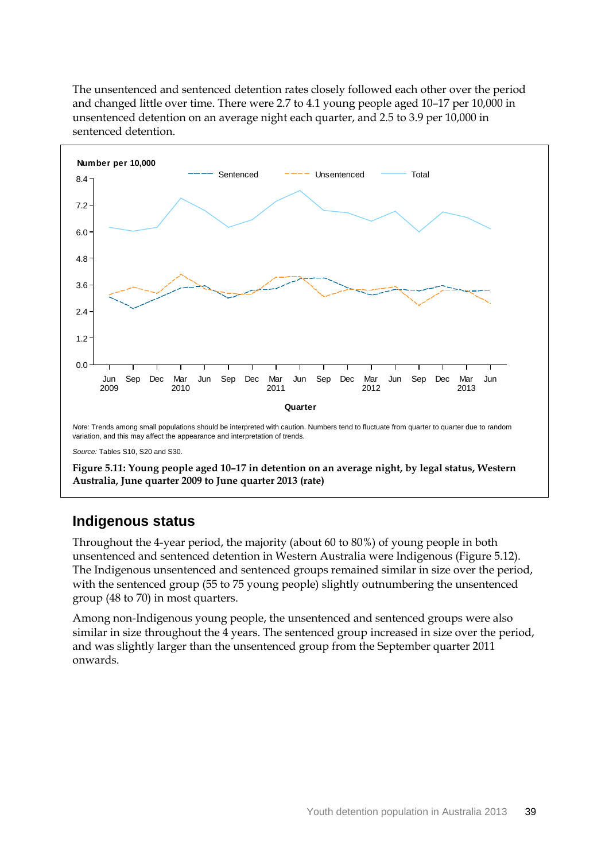The unsentenced and sentenced detention rates closely followed each other over the period and changed little over time. There were 2.7 to 4.1 young people aged 10–17 per 10,000 in unsentenced detention on an average night each quarter, and 2.5 to 3.9 per 10,000 in sentenced detention.



#### **Indigenous status**

Throughout the 4-year period, the majority (about 60 to 80%) of young people in both unsentenced and sentenced detention in Western Australia were Indigenous (Figure 5.12). The Indigenous unsentenced and sentenced groups remained similar in size over the period, with the sentenced group (55 to 75 young people) slightly outnumbering the unsentenced group (48 to 70) in most quarters.

Among non-Indigenous young people, the unsentenced and sentenced groups were also similar in size throughout the 4 years. The sentenced group increased in size over the period, and was slightly larger than the unsentenced group from the September quarter 2011 onwards.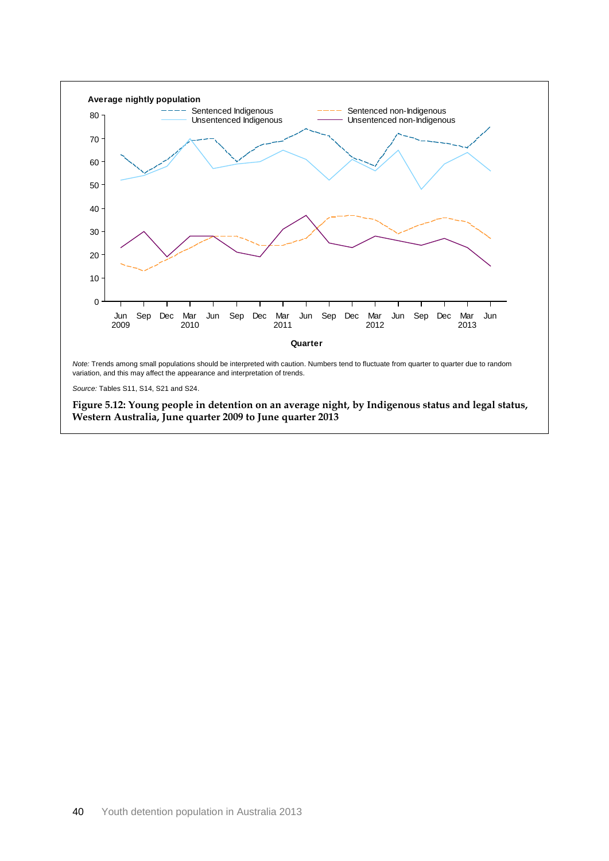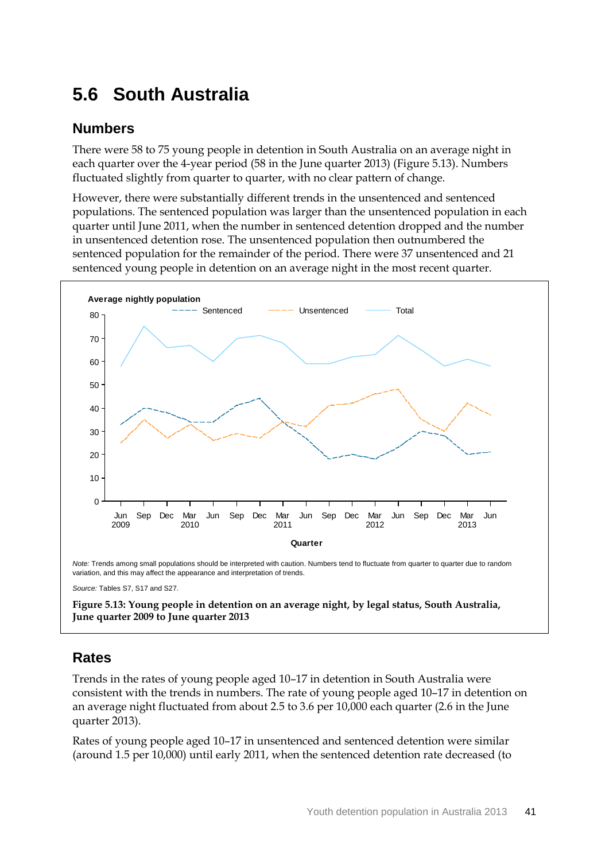# **5.6 South Australia**

#### **Numbers**

There were 58 to 75 young people in detention in South Australia on an average night in each quarter over the 4-year period (58 in the June quarter 2013) (Figure 5.13). Numbers fluctuated slightly from quarter to quarter, with no clear pattern of change.

However, there were substantially different trends in the unsentenced and sentenced populations. The sentenced population was larger than the unsentenced population in each quarter until June 2011, when the number in sentenced detention dropped and the number in unsentenced detention rose. The unsentenced population then outnumbered the sentenced population for the remainder of the period. There were 37 unsentenced and 21 sentenced young people in detention on an average night in the most recent quarter.



*Source:* Tables S7, S17 and S27.

**Figure 5.13: Young people in detention on an average night, by legal status, South Australia, June quarter 2009 to June quarter 2013**

## **Rates**

Trends in the rates of young people aged 10–17 in detention in South Australia were consistent with the trends in numbers. The rate of young people aged 10–17 in detention on an average night fluctuated from about 2.5 to 3.6 per 10,000 each quarter (2.6 in the June quarter 2013).

Rates of young people aged 10–17 in unsentenced and sentenced detention were similar (around 1.5 per 10,000) until early 2011, when the sentenced detention rate decreased (to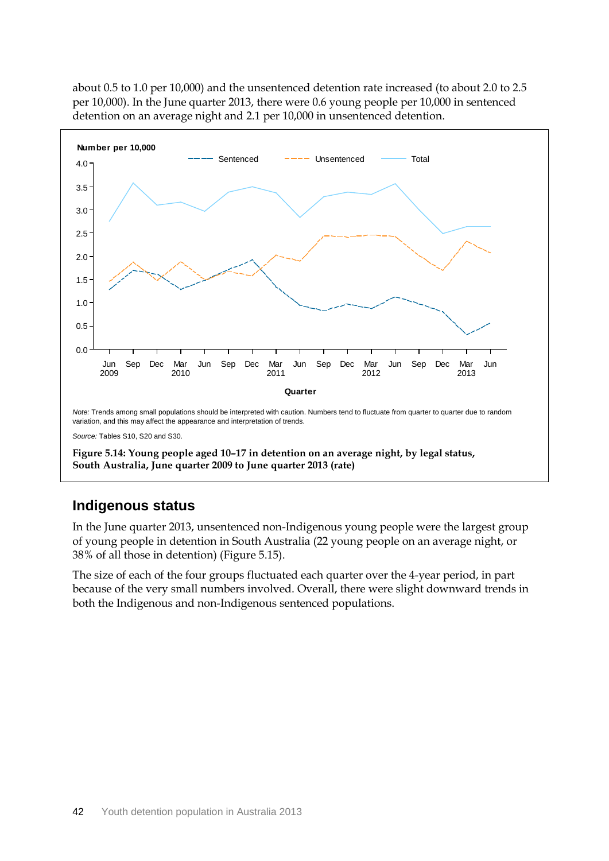

about 0.5 to 1.0 per 10,000) and the unsentenced detention rate increased (to about 2.0 to 2.5 per 10,000). In the June quarter 2013, there were 0.6 young people per 10,000 in sentenced detention on an average night and 2.1 per 10,000 in unsentenced detention.

#### **Indigenous status**

In the June quarter 2013, unsentenced non-Indigenous young people were the largest group of young people in detention in South Australia (22 young people on an average night, or 38% of all those in detention) (Figure 5.15).

The size of each of the four groups fluctuated each quarter over the 4-year period, in part because of the very small numbers involved. Overall, there were slight downward trends in both the Indigenous and non-Indigenous sentenced populations.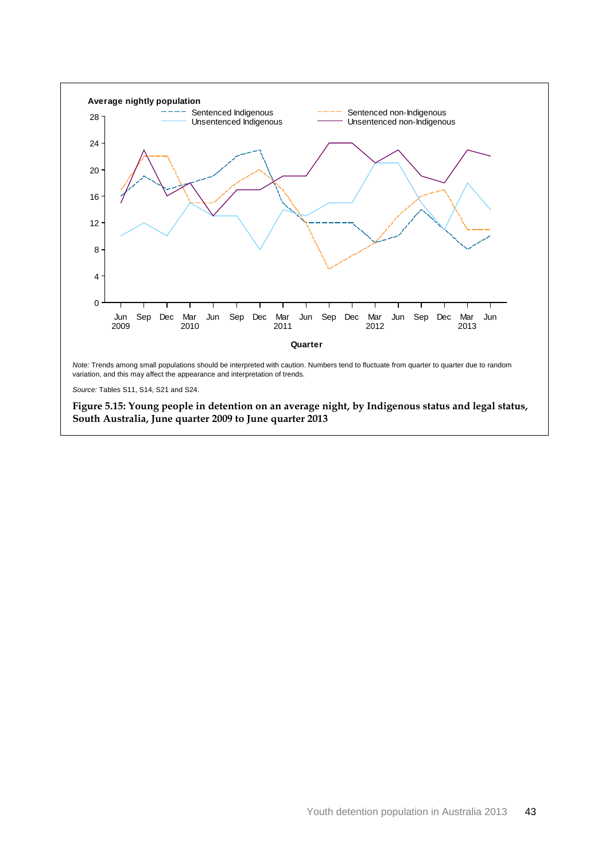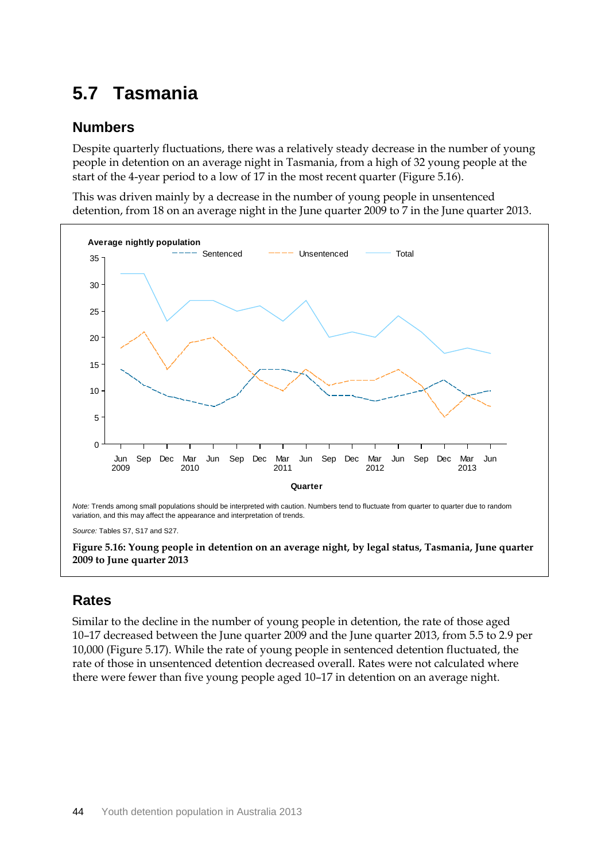# **5.7 Tasmania**

#### **Numbers**

Despite quarterly fluctuations, there was a relatively steady decrease in the number of young people in detention on an average night in Tasmania, from a high of 32 young people at the start of the 4-year period to a low of 17 in the most recent quarter (Figure 5.16).

This was driven mainly by a decrease in the number of young people in unsentenced detention, from 18 on an average night in the June quarter 2009 to 7 in the June quarter 2013.



*Source:* Tables S7, S17 and S27.

**Figure 5.16: Young people in detention on an average night, by legal status, Tasmania, June quarter 2009 to June quarter 2013**

## **Rates**

Similar to the decline in the number of young people in detention, the rate of those aged 10–17 decreased between the June quarter 2009 and the June quarter 2013, from 5.5 to 2.9 per 10,000 (Figure 5.17). While the rate of young people in sentenced detention fluctuated, the rate of those in unsentenced detention decreased overall. Rates were not calculated where there were fewer than five young people aged 10–17 in detention on an average night.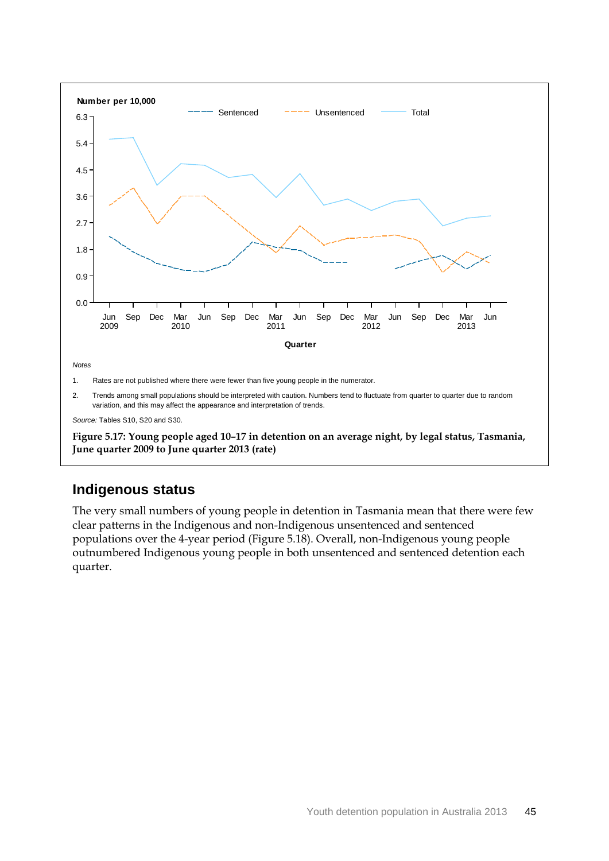

**Figure 5.17: Young people aged 10–17 in detention on an average night, by legal status, Tasmania, June quarter 2009 to June quarter 2013 (rate)**

## **Indigenous status**

The very small numbers of young people in detention in Tasmania mean that there were few clear patterns in the Indigenous and non-Indigenous unsentenced and sentenced populations over the 4-year period (Figure 5.18). Overall, non-Indigenous young people outnumbered Indigenous young people in both unsentenced and sentenced detention each quarter.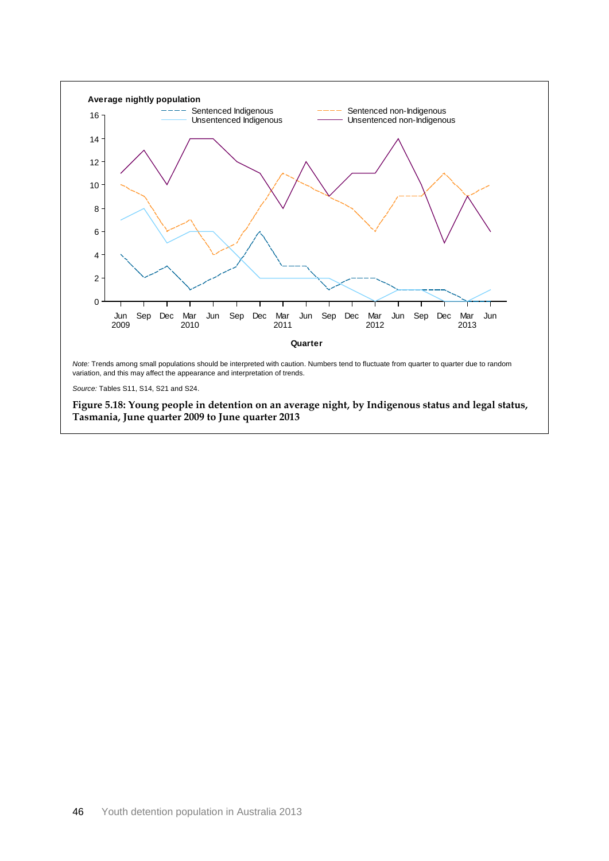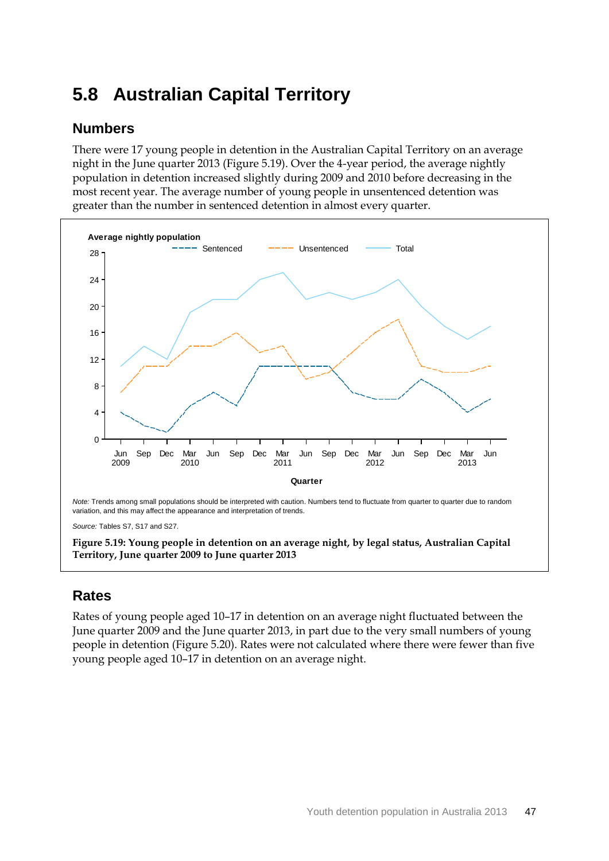# **5.8 Australian Capital Territory**

#### **Numbers**

There were 17 young people in detention in the Australian Capital Territory on an average night in the June quarter 2013 (Figure 5.19). Over the 4-year period, the average nightly population in detention increased slightly during 2009 and 2010 before decreasing in the most recent year. The average number of young people in unsentenced detention was greater than the number in sentenced detention in almost every quarter.



**Figure 5.19: Young people in detention on an average night, by legal status, Australian Capital Territory, June quarter 2009 to June quarter 2013**

## **Rates**

Rates of young people aged 10–17 in detention on an average night fluctuated between the June quarter 2009 and the June quarter 2013, in part due to the very small numbers of young people in detention (Figure 5.20). Rates were not calculated where there were fewer than five young people aged 10–17 in detention on an average night.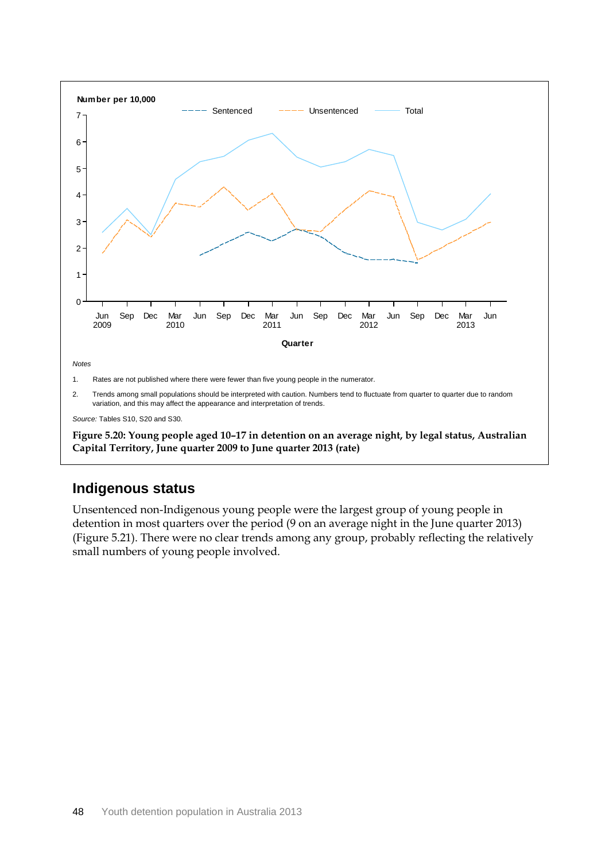

## **Indigenous status**

Unsentenced non-Indigenous young people were the largest group of young people in detention in most quarters over the period (9 on an average night in the June quarter 2013) (Figure 5.21). There were no clear trends among any group, probably reflecting the relatively small numbers of young people involved.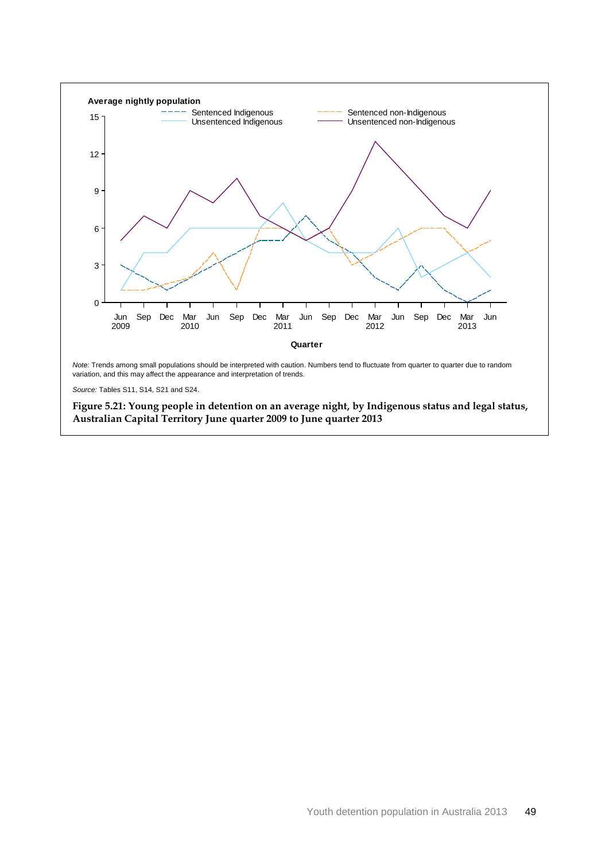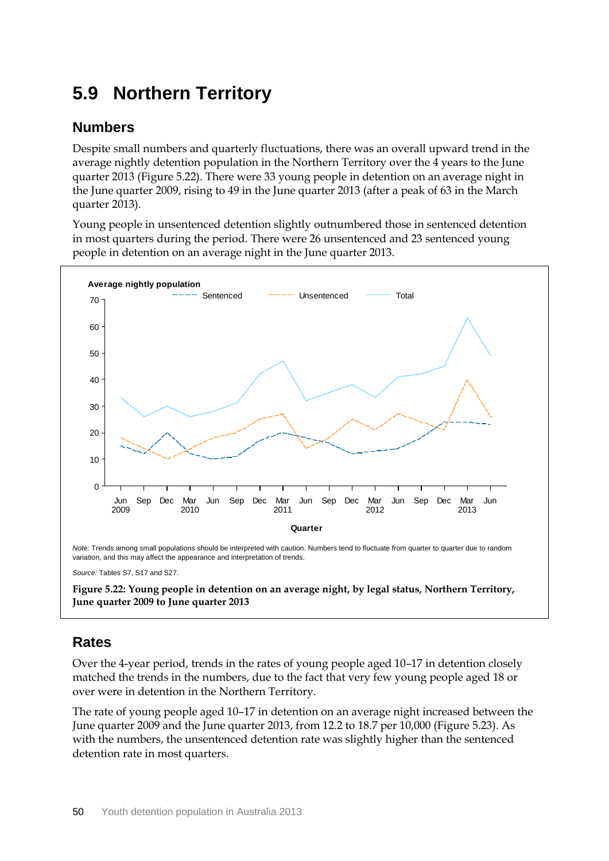# **5.9 Northern Territory**

#### **Numbers**

Despite small numbers and quarterly fluctuations, there was an overall upward trend in the average nightly detention population in the Northern Territory over the 4 years to the June quarter 2013 (Figure 5.22). There were 33 young people in detention on an average night in the June quarter 2009, rising to 49 in the June quarter 2013 (after a peak of 63 in the March quarter 2013).

Young people in unsentenced detention slightly outnumbered those in sentenced detention in most quarters during the period. There were 26 unsentenced and 23 sentenced young people in detention on an average night in the June quarter 2013.



*Source:* Tables S7, S17 and S27.

**Figure 5.22: Young people in detention on an average night, by legal status, Northern Territory, June quarter 2009 to June quarter 2013**

### **Rates**

Over the 4-year period, trends in the rates of young people aged 10–17 in detention closely matched the trends in the numbers, due to the fact that very few young people aged 18 or over were in detention in the Northern Territory.

The rate of young people aged 10–17 in detention on an average night increased between the June quarter 2009 and the June quarter 2013, from 12.2 to 18.7 per 10,000 (Figure 5.23). As with the numbers, the unsentenced detention rate was slightly higher than the sentenced detention rate in most quarters.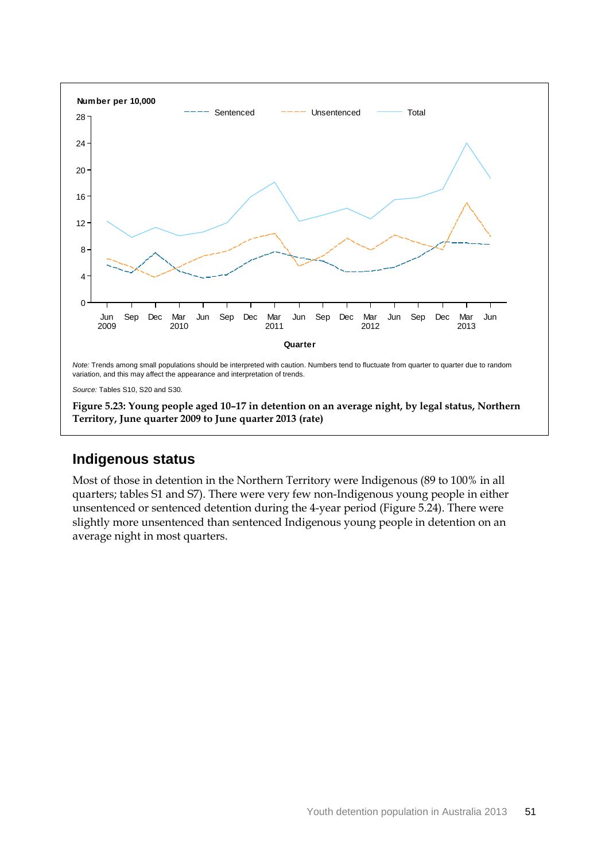

*Source:* Tables S10, S20 and S30.

**Figure 5.23: Young people aged 10–17 in detention on an average night, by legal status, Northern Territory, June quarter 2009 to June quarter 2013 (rate)**

#### **Indigenous status**

Most of those in detention in the Northern Territory were Indigenous (89 to 100% in all quarters; tables S1 and S7). There were very few non-Indigenous young people in either unsentenced or sentenced detention during the 4-year period (Figure 5.24). There were slightly more unsentenced than sentenced Indigenous young people in detention on an average night in most quarters.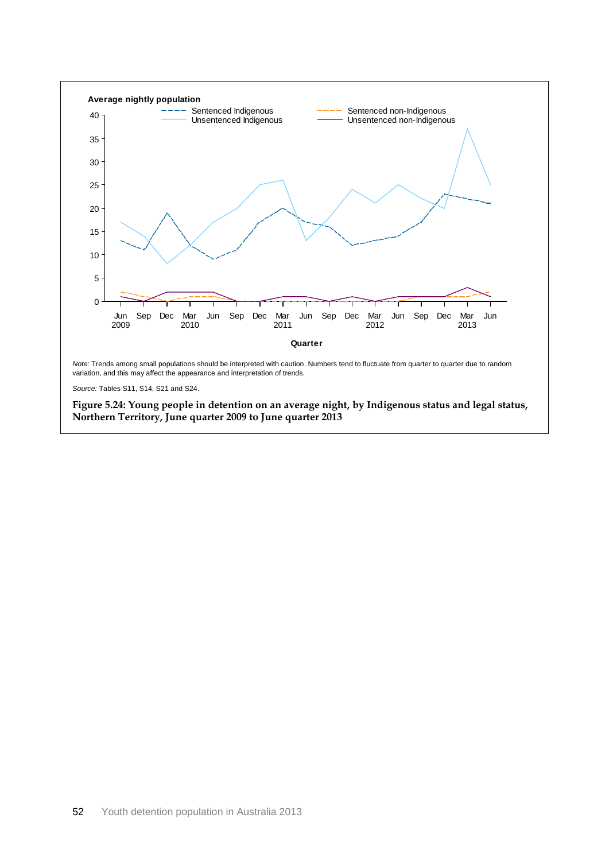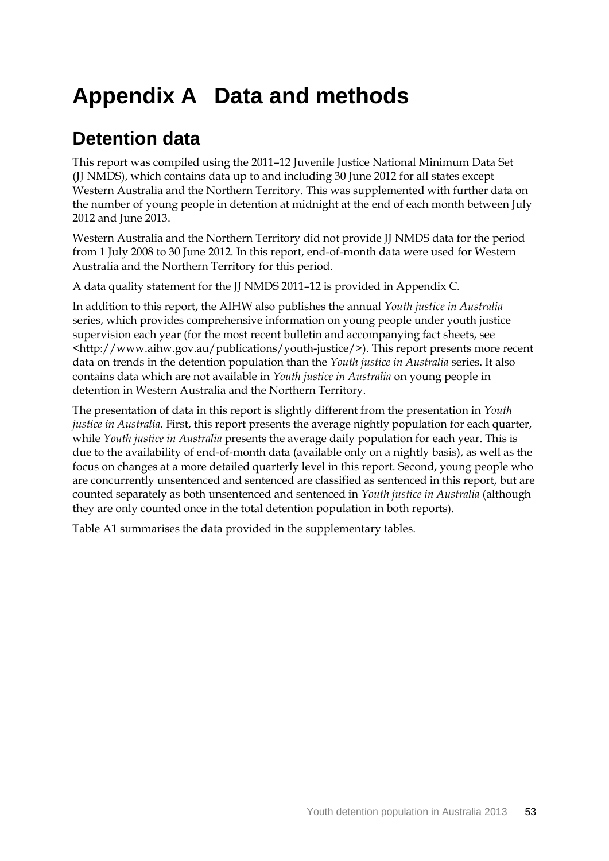# **Appendix A Data and methods**

# **Detention data**

This report was compiled using the 2011–12 Juvenile Justice National Minimum Data Set (JJ NMDS), which contains data up to and including 30 June 2012 for all states except Western Australia and the Northern Territory. This was supplemented with further data on the number of young people in detention at midnight at the end of each month between July 2012 and June 2013.

Western Australia and the Northern Territory did not provide JJ NMDS data for the period from 1 July 2008 to 30 June 2012. In this report, end-of-month data were used for Western Australia and the Northern Territory for this period.

A data quality statement for the JJ NMDS 2011–12 is provided in Appendix C.

In addition to this report, the AIHW also publishes the annual *Youth justice in Australia* series, which provides comprehensive information on young people under youth justice supervision each year (for the most recent bulletin and accompanying fact sheets, see <http://www.aihw.gov.au/publications/youth-justice/>). This report presents more recent data on trends in the detention population than the *Youth justice in Australia* series. It also contains data which are not available in *Youth justice in Australia* on young people in detention in Western Australia and the Northern Territory.

The presentation of data in this report is slightly different from the presentation in *Youth justice in Australia*. First, this report presents the average nightly population for each quarter, while *Youth justice in Australia* presents the average daily population for each year. This is due to the availability of end-of-month data (available only on a nightly basis), as well as the focus on changes at a more detailed quarterly level in this report. Second, young people who are concurrently unsentenced and sentenced are classified as sentenced in this report, but are counted separately as both unsentenced and sentenced in *Youth justice in Australia* (although they are only counted once in the total detention population in both reports)*.* 

Table A1 summarises the data provided in the supplementary tables.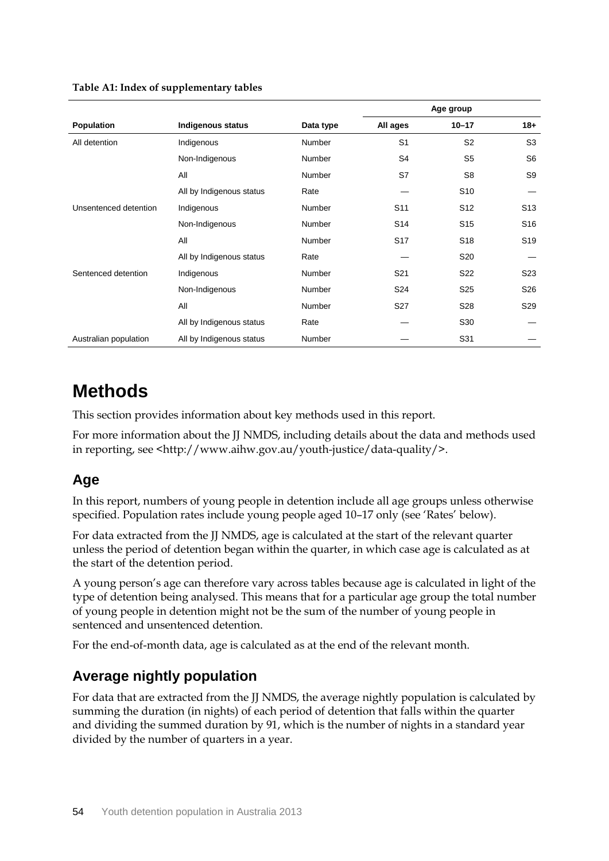|                       |                          |               | Age group       |                 |                 |
|-----------------------|--------------------------|---------------|-----------------|-----------------|-----------------|
| Population            | <b>Indigenous status</b> | Data type     | All ages        | $10 - 17$       | $18+$           |
| All detention         | Indigenous               | <b>Number</b> | S <sub>1</sub>  | S <sub>2</sub>  | S <sub>3</sub>  |
|                       | Non-Indigenous           | <b>Number</b> | S <sub>4</sub>  | S <sub>5</sub>  | S <sub>6</sub>  |
|                       | All                      | <b>Number</b> | S7              | S8              | S9              |
|                       | All by Indigenous status | Rate          |                 | S <sub>10</sub> |                 |
| Unsentenced detention | Indigenous               | <b>Number</b> | S <sub>11</sub> | S <sub>12</sub> | S <sub>13</sub> |
|                       | Non-Indigenous           | <b>Number</b> | S <sub>14</sub> | S <sub>15</sub> | S <sub>16</sub> |
|                       | All                      | <b>Number</b> | S <sub>17</sub> | S <sub>18</sub> | S <sub>19</sub> |
|                       | All by Indigenous status | Rate          |                 | S <sub>20</sub> |                 |
| Sentenced detention   | Indigenous               | Number        | S <sub>21</sub> | S22             | S <sub>23</sub> |
|                       | Non-Indigenous           | Number        | S <sub>24</sub> | S <sub>25</sub> | S <sub>26</sub> |
|                       | All                      | <b>Number</b> | S <sub>27</sub> | S28             | S <sub>29</sub> |
|                       | All by Indigenous status | Rate          |                 | S30             |                 |
| Australian population | All by Indigenous status | Number        |                 | S31             |                 |

#### **Table A1: Index of supplementary tables**

## **Methods**

This section provides information about key methods used in this report.

For more information about the JJ NMDS, including details about the data and methods used in reporting, see <http://www.aihw.gov.au/youth-justice/data-quality/>.

## **Age**

In this report, numbers of young people in detention include all age groups unless otherwise specified. Population rates include young people aged 10–17 only (see 'Rates' below).

For data extracted from the JJ NMDS, age is calculated at the start of the relevant quarter unless the period of detention began within the quarter, in which case age is calculated as at the start of the detention period.

A young person's age can therefore vary across tables because age is calculated in light of the type of detention being analysed. This means that for a particular age group the total number of young people in detention might not be the sum of the number of young people in sentenced and unsentenced detention.

For the end-of-month data, age is calculated as at the end of the relevant month.

### **Average nightly population**

For data that are extracted from the JJ NMDS, the average nightly population is calculated by summing the duration (in nights) of each period of detention that falls within the quarter and dividing the summed duration by 91, which is the number of nights in a standard year divided by the number of quarters in a year.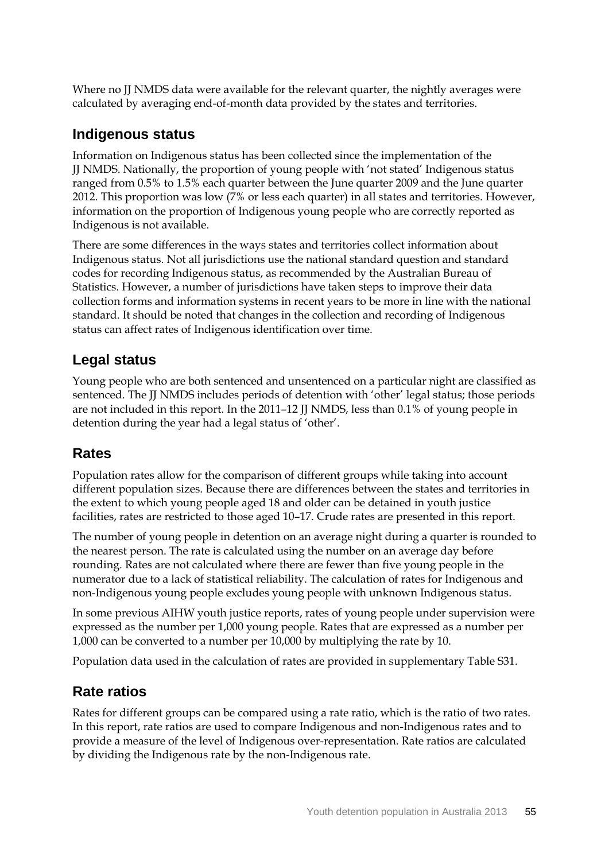Where no IJ NMDS data were available for the relevant quarter, the nightly averages were calculated by averaging end-of-month data provided by the states and territories.

#### **Indigenous status**

Information on Indigenous status has been collected since the implementation of the JJ NMDS. Nationally, the proportion of young people with 'not stated' Indigenous status ranged from 0.5% to 1.5% each quarter between the June quarter 2009 and the June quarter 2012. This proportion was low (7% or less each quarter) in all states and territories. However, information on the proportion of Indigenous young people who are correctly reported as Indigenous is not available.

There are some differences in the ways states and territories collect information about Indigenous status. Not all jurisdictions use the national standard question and standard codes for recording Indigenous status, as recommended by the Australian Bureau of Statistics. However, a number of jurisdictions have taken steps to improve their data collection forms and information systems in recent years to be more in line with the national standard. It should be noted that changes in the collection and recording of Indigenous status can affect rates of Indigenous identification over time.

### **Legal status**

Young people who are both sentenced and unsentenced on a particular night are classified as sentenced. The JJ NMDS includes periods of detention with 'other' legal status; those periods are not included in this report. In the 2011–12 JJ NMDS, less than 0.1% of young people in detention during the year had a legal status of 'other'.

### **Rates**

Population rates allow for the comparison of different groups while taking into account different population sizes. Because there are differences between the states and territories in the extent to which young people aged 18 and older can be detained in youth justice facilities, rates are restricted to those aged 10–17. Crude rates are presented in this report.

The number of young people in detention on an average night during a quarter is rounded to the nearest person. The rate is calculated using the number on an average day before rounding. Rates are not calculated where there are fewer than five young people in the numerator due to a lack of statistical reliability. The calculation of rates for Indigenous and non-Indigenous young people excludes young people with unknown Indigenous status.

In some previous AIHW youth justice reports, rates of young people under supervision were expressed as the number per 1,000 young people. Rates that are expressed as a number per 1,000 can be converted to a number per 10,000 by multiplying the rate by 10.

Population data used in the calculation of rates are provided in supplementary Table S31.

### **Rate ratios**

Rates for different groups can be compared using a rate ratio, which is the ratio of two rates. In this report, rate ratios are used to compare Indigenous and non-Indigenous rates and to provide a measure of the level of Indigenous over-representation. Rate ratios are calculated by dividing the Indigenous rate by the non-Indigenous rate.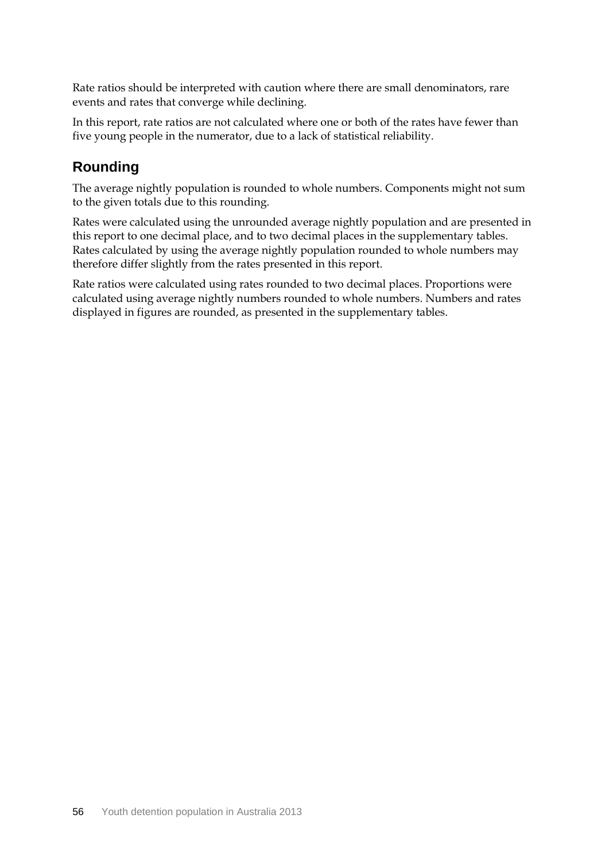Rate ratios should be interpreted with caution where there are small denominators, rare events and rates that converge while declining.

In this report, rate ratios are not calculated where one or both of the rates have fewer than five young people in the numerator, due to a lack of statistical reliability.

#### **Rounding**

The average nightly population is rounded to whole numbers. Components might not sum to the given totals due to this rounding.

Rates were calculated using the unrounded average nightly population and are presented in this report to one decimal place, and to two decimal places in the supplementary tables. Rates calculated by using the average nightly population rounded to whole numbers may therefore differ slightly from the rates presented in this report.

Rate ratios were calculated using rates rounded to two decimal places. Proportions were calculated using average nightly numbers rounded to whole numbers. Numbers and rates displayed in figures are rounded, as presented in the supplementary tables.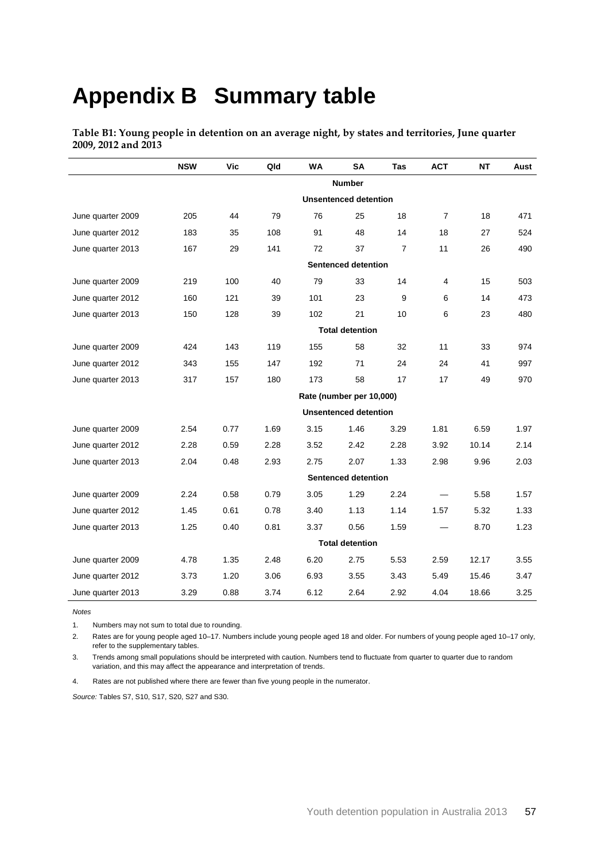# **Appendix B Summary table**

**Table B1: Young people in detention on an average night, by states and territories, June quarter 2009, 2012 and 2013**

|                   | <b>NSW</b>                 | Vic                          | Qld  | <b>WA</b> | <b>SA</b>                | Tas            | <b>ACT</b>     | <b>NT</b> | Aust |  |  |
|-------------------|----------------------------|------------------------------|------|-----------|--------------------------|----------------|----------------|-----------|------|--|--|
|                   |                            |                              |      |           | <b>Number</b>            |                |                |           |      |  |  |
|                   |                            | <b>Unsentenced detention</b> |      |           |                          |                |                |           |      |  |  |
| June quarter 2009 | 205                        | 44                           | 79   | 76        | 25                       | 18             | $\overline{7}$ | 18        | 471  |  |  |
| June quarter 2012 | 183                        | 35                           | 108  | 91        | 48                       | 14             | 18             | 27        | 524  |  |  |
| June quarter 2013 | 167                        | 29                           | 141  | 72        | 37                       | $\overline{7}$ | 11             | 26        | 490  |  |  |
|                   | <b>Sentenced detention</b> |                              |      |           |                          |                |                |           |      |  |  |
| June quarter 2009 | 219                        | 100                          | 40   | 79        | 33                       | 14             | 4              | 15        | 503  |  |  |
| June quarter 2012 | 160                        | 121                          | 39   | 101       | 23                       | 9              | 6              | 14        | 473  |  |  |
| June quarter 2013 | 150                        | 128                          | 39   | 102       | 21                       | 10             | 6              | 23        | 480  |  |  |
|                   |                            |                              |      |           | <b>Total detention</b>   |                |                |           |      |  |  |
| June quarter 2009 | 424                        | 143                          | 119  | 155       | 58                       | 32             | 11             | 33        | 974  |  |  |
| June quarter 2012 | 343                        | 155                          | 147  | 192       | 71                       | 24             | 24             | 41        | 997  |  |  |
| June quarter 2013 | 317                        | 157                          | 180  | 173       | 58                       | 17             | 17             | 49        | 970  |  |  |
|                   |                            |                              |      |           | Rate (number per 10,000) |                |                |           |      |  |  |
|                   |                            | <b>Unsentenced detention</b> |      |           |                          |                |                |           |      |  |  |
| June quarter 2009 | 2.54                       | 0.77                         | 1.69 | 3.15      | 1.46                     | 3.29           | 1.81           | 6.59      | 1.97 |  |  |
| June quarter 2012 | 2.28                       | 0.59                         | 2.28 | 3.52      | 2.42                     | 2.28           | 3.92           | 10.14     | 2.14 |  |  |
| June quarter 2013 | 2.04                       | 0.48                         | 2.93 | 2.75      | 2.07                     | 1.33           | 2.98           | 9.96      | 2.03 |  |  |
|                   |                            |                              |      |           | Sentenced detention      |                |                |           |      |  |  |
| June quarter 2009 | 2.24                       | 0.58                         | 0.79 | 3.05      | 1.29                     | 2.24           |                | 5.58      | 1.57 |  |  |
| June quarter 2012 | 1.45                       | 0.61                         | 0.78 | 3.40      | 1.13                     | 1.14           | 1.57           | 5.32      | 1.33 |  |  |
| June quarter 2013 | 1.25                       | 0.40                         | 0.81 | 3.37      | 0.56                     | 1.59           |                | 8.70      | 1.23 |  |  |
|                   |                            |                              |      |           | <b>Total detention</b>   |                |                |           |      |  |  |
| June quarter 2009 | 4.78                       | 1.35                         | 2.48 | 6.20      | 2.75                     | 5.53           | 2.59           | 12.17     | 3.55 |  |  |
| June quarter 2012 | 3.73                       | 1.20                         | 3.06 | 6.93      | 3.55                     | 3.43           | 5.49           | 15.46     | 3.47 |  |  |
| June quarter 2013 | 3.29                       | 0.88                         | 3.74 | 6.12      | 2.64                     | 2.92           | 4.04           | 18.66     | 3.25 |  |  |

*Notes*

1. Numbers may not sum to total due to rounding.

2. Rates are for young people aged 10–17. Numbers include young people aged 18 and older. For numbers of young people aged 10–17 only, refer to the supplementary tables.

3. Trends among small populations should be interpreted with caution. Numbers tend to fluctuate from quarter to quarter due to random variation, and this may affect the appearance and interpretation of trends.

4. Rates are not published where there are fewer than five young people in the numerator.

*Source:* Tables S7, S10, S17, S20, S27 and S30.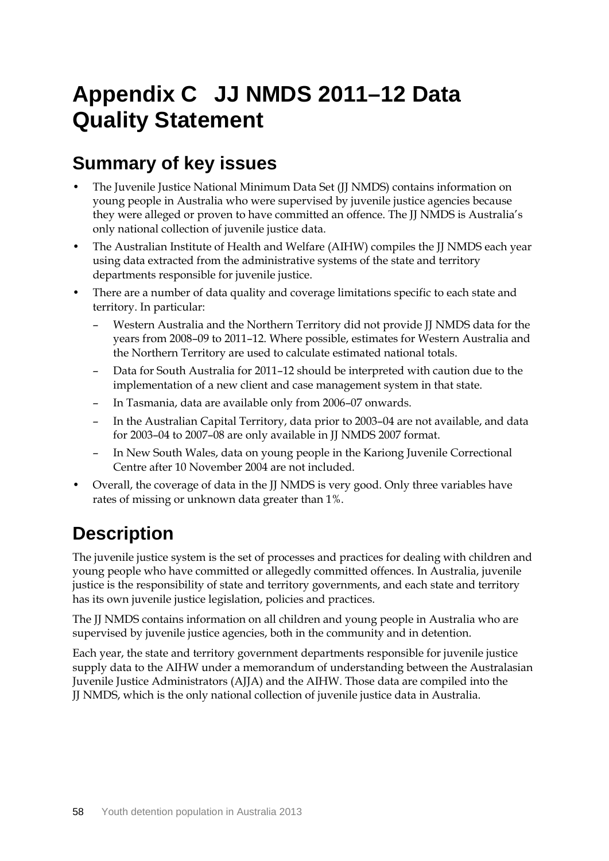# **Appendix C JJ NMDS 2011–12 Data Quality Statement**

# **Summary of key issues**

- The Juvenile Justice National Minimum Data Set (JJ NMDS) contains information on young people in Australia who were supervised by juvenile justice agencies because they were alleged or proven to have committed an offence. The JJ NMDS is Australia's only national collection of juvenile justice data.
- The Australian Institute of Health and Welfare (AIHW) compiles the JJ NMDS each year using data extracted from the administrative systems of the state and territory departments responsible for juvenile justice.
- There are a number of data quality and coverage limitations specific to each state and territory. In particular:
	- Western Australia and the Northern Territory did not provide JJ NMDS data for the years from 2008–09 to 2011–12. Where possible, estimates for Western Australia and the Northern Territory are used to calculate estimated national totals.
	- Data for South Australia for 2011–12 should be interpreted with caution due to the implementation of a new client and case management system in that state.
	- In Tasmania, data are available only from 2006–07 onwards.
	- In the Australian Capital Territory, data prior to 2003–04 are not available, and data for 2003–04 to 2007–08 are only available in JJ NMDS 2007 format.
	- In New South Wales, data on young people in the Kariong Juvenile Correctional Centre after 10 November 2004 are not included.
- Overall, the coverage of data in the JJ NMDS is very good. Only three variables have rates of missing or unknown data greater than 1%.

# **Description**

The juvenile justice system is the set of processes and practices for dealing with children and young people who have committed or allegedly committed offences. In Australia, juvenile justice is the responsibility of state and territory governments, and each state and territory has its own juvenile justice legislation, policies and practices.

The JJ NMDS contains information on all children and young people in Australia who are supervised by juvenile justice agencies, both in the community and in detention.

Each year, the state and territory government departments responsible for juvenile justice supply data to the AIHW under a memorandum of understanding between the Australasian Juvenile Justice Administrators (AJJA) and the AIHW. Those data are compiled into the JJ NMDS, which is the only national collection of juvenile justice data in Australia.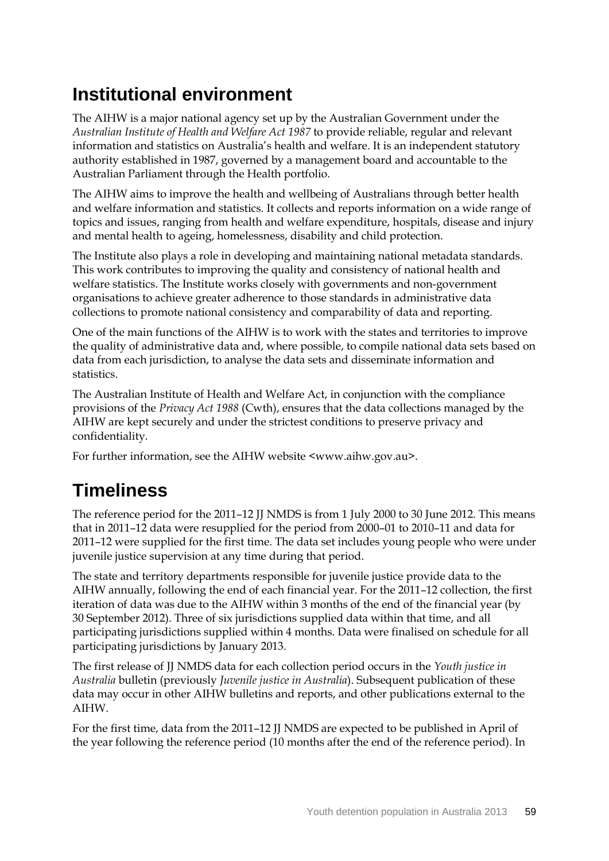# **Institutional environment**

The AIHW is a major national agency set up by the Australian Government under the *Australian Institute of Health and Welfare Act 1987* to provide reliable, regular and relevant information and statistics on Australia's health and welfare. It is an independent statutory authority established in 1987, governed by a management board and accountable to the Australian Parliament through the Health portfolio.

The AIHW aims to improve the health and wellbeing of Australians through better health and welfare information and statistics. It collects and reports information on a wide range of topics and issues, ranging from health and welfare expenditure, hospitals, disease and injury and mental health to ageing, homelessness, disability and child protection.

The Institute also plays a role in developing and maintaining national metadata standards. This work contributes to improving the quality and consistency of national health and welfare statistics. The Institute works closely with governments and non-government organisations to achieve greater adherence to those standards in administrative data collections to promote national consistency and comparability of data and reporting.

One of the main functions of the AIHW is to work with the states and territories to improve the quality of administrative data and, where possible, to compile national data sets based on data from each jurisdiction, to analyse the data sets and disseminate information and statistics.

The Australian Institute of Health and Welfare Act, in conjunction with the compliance provisions of the *Privacy Act 1988* (Cwth), ensures that the data collections managed by the AIHW are kept securely and under the strictest conditions to preserve privacy and confidentiality.

For further information, see the AIHW website <www.aihw.gov.au>.

# **Timeliness**

The reference period for the 2011–12 JJ NMDS is from 1 July 2000 to 30 June 2012. This means that in 2011–12 data were resupplied for the period from 2000–01 to 2010–11 and data for 2011–12 were supplied for the first time. The data set includes young people who were under juvenile justice supervision at any time during that period.

The state and territory departments responsible for juvenile justice provide data to the AIHW annually, following the end of each financial year. For the 2011–12 collection, the first iteration of data was due to the AIHW within 3 months of the end of the financial year (by 30 September 2012). Three of six jurisdictions supplied data within that time, and all participating jurisdictions supplied within 4 months. Data were finalised on schedule for all participating jurisdictions by January 2013.

The first release of JJ NMDS data for each collection period occurs in the *Youth justice in Australia* bulletin (previously *Juvenile justice in Australia*). Subsequent publication of these data may occur in other AIHW bulletins and reports, and other publications external to the AIHW.

For the first time, data from the 2011–12 JJ NMDS are expected to be published in April of the year following the reference period (10 months after the end of the reference period). In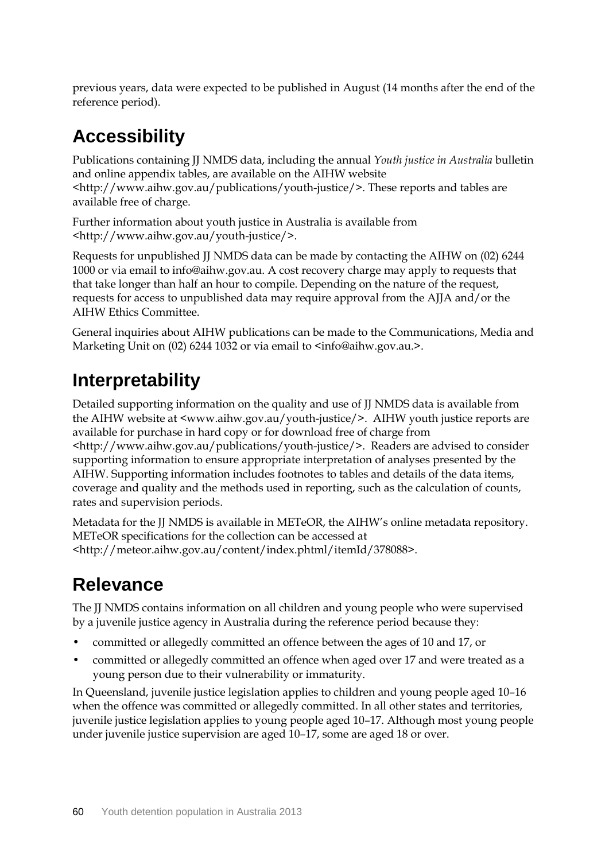previous years, data were expected to be published in August (14 months after the end of the reference period).

# **Accessibility**

Publications containing JJ NMDS data, including the annual *Youth justice in Australia* bulletin and online appendix tables, are available on the AIHW website <http://www.aihw.gov.au/publications/youth-justice/>. These reports and tables are available free of charge.

Further information about youth justice in Australia is available from <http://www.aihw.gov.au/youth-justice/>.

Requests for unpublished JJ NMDS data can be made by contacting the AIHW on (02) 6244 1000 or via email to info@aihw.gov.au. A cost recovery charge may apply to requests that that take longer than half an hour to compile. Depending on the nature of the request, requests for access to unpublished data may require approval from the AJJA and/or the AIHW Ethics Committee.

General inquiries about AIHW publications can be made to the Communications, Media and Marketing Unit on (02) 6244 1032 or via email to  $\langle \sin \omega \rangle$  as info@aihw.gov.au.>.

# **Interpretability**

Detailed supporting information on the quality and use of JJ NMDS data is available from the AIHW website at <www.aihw.gov.au/youth-justice/>. AIHW youth justice reports are available for purchase in hard copy or for download free of charge from <http://www.aihw.gov.au/publications/youth-justice/>. Readers are advised to consider supporting information to ensure appropriate interpretation of analyses presented by the AIHW. Supporting information includes footnotes to tables and details of the data items, coverage and quality and the methods used in reporting, such as the calculation of counts, rates and supervision periods.

Metadata for the JJ NMDS is available in METeOR, the AIHW's online metadata repository. METeOR specifications for the collection can be accessed at <http://meteor.aihw.gov.au/content/index.phtml/itemId/378088>.

# **Relevance**

The JJ NMDS contains information on all children and young people who were supervised by a juvenile justice agency in Australia during the reference period because they:

- committed or allegedly committed an offence between the ages of 10 and 17, or
- committed or allegedly committed an offence when aged over 17 and were treated as a young person due to their vulnerability or immaturity.

In Queensland, juvenile justice legislation applies to children and young people aged 10–16 when the offence was committed or allegedly committed. In all other states and territories, juvenile justice legislation applies to young people aged 10–17. Although most young people under juvenile justice supervision are aged 10–17, some are aged 18 or over.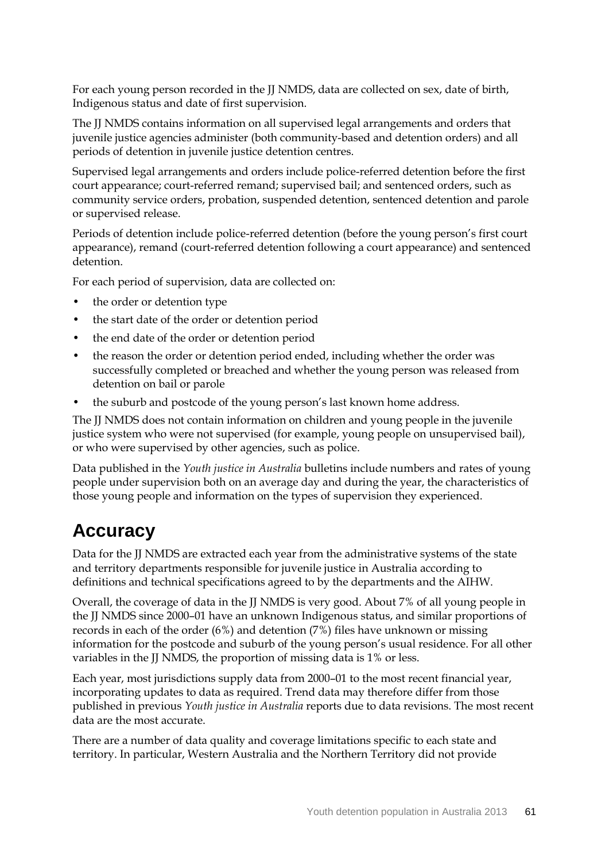For each young person recorded in the JJ NMDS, data are collected on sex, date of birth, Indigenous status and date of first supervision.

The JJ NMDS contains information on all supervised legal arrangements and orders that juvenile justice agencies administer (both community-based and detention orders) and all periods of detention in juvenile justice detention centres.

Supervised legal arrangements and orders include police-referred detention before the first court appearance; court-referred remand; supervised bail; and sentenced orders, such as community service orders, probation, suspended detention, sentenced detention and parole or supervised release.

Periods of detention include police-referred detention (before the young person's first court appearance), remand (court-referred detention following a court appearance) and sentenced detention.

For each period of supervision, data are collected on:

- the order or detention type
- the start date of the order or detention period
- the end date of the order or detention period
- the reason the order or detention period ended, including whether the order was successfully completed or breached and whether the young person was released from detention on bail or parole
- the suburb and postcode of the young person's last known home address.

The JJ NMDS does not contain information on children and young people in the juvenile justice system who were not supervised (for example, young people on unsupervised bail), or who were supervised by other agencies, such as police.

Data published in the *Youth justice in Australia* bulletins include numbers and rates of young people under supervision both on an average day and during the year, the characteristics of those young people and information on the types of supervision they experienced.

## **Accuracy**

Data for the JJ NMDS are extracted each year from the administrative systems of the state and territory departments responsible for juvenile justice in Australia according to definitions and technical specifications agreed to by the departments and the AIHW.

Overall, the coverage of data in the JJ NMDS is very good. About 7% of all young people in the JJ NMDS since 2000–01 have an unknown Indigenous status, and similar proportions of records in each of the order (6%) and detention (7%) files have unknown or missing information for the postcode and suburb of the young person's usual residence. For all other variables in the JJ NMDS, the proportion of missing data is 1% or less.

Each year, most jurisdictions supply data from 2000–01 to the most recent financial year, incorporating updates to data as required. Trend data may therefore differ from those published in previous *Youth justice in Australia* reports due to data revisions. The most recent data are the most accurate.

There are a number of data quality and coverage limitations specific to each state and territory. In particular, Western Australia and the Northern Territory did not provide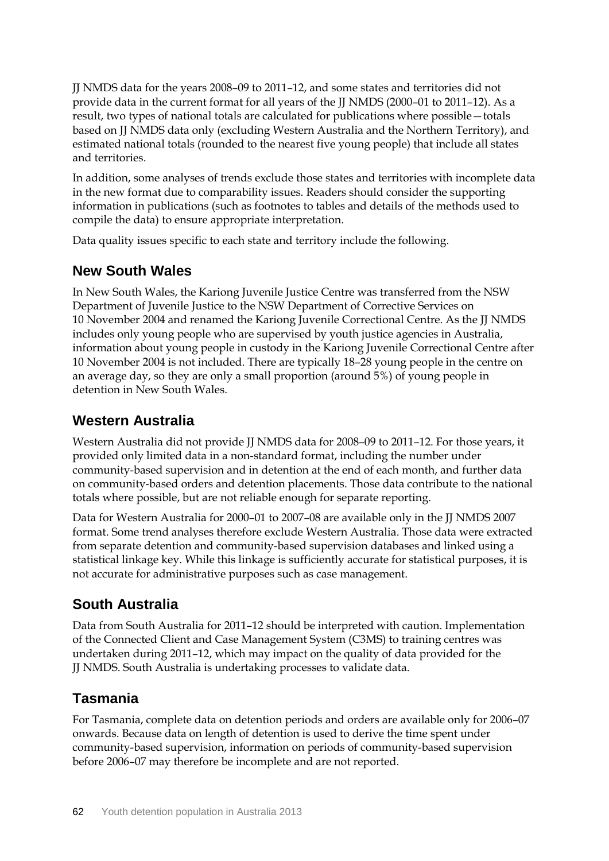JJ NMDS data for the years 2008–09 to 2011–12, and some states and territories did not provide data in the current format for all years of the JJ NMDS (2000–01 to 2011–12). As a result, two types of national totals are calculated for publications where possible—totals based on JJ NMDS data only (excluding Western Australia and the Northern Territory), and estimated national totals (rounded to the nearest five young people) that include all states and territories.

In addition, some analyses of trends exclude those states and territories with incomplete data in the new format due to comparability issues. Readers should consider the supporting information in publications (such as footnotes to tables and details of the methods used to compile the data) to ensure appropriate interpretation.

Data quality issues specific to each state and territory include the following.

### **New South Wales**

In New South Wales, the Kariong Juvenile Justice Centre was transferred from the NSW Department of Juvenile Justice to the NSW Department of Corrective Services on 10 November 2004 and renamed the Kariong Juvenile Correctional Centre. As the JJ NMDS includes only young people who are supervised by youth justice agencies in Australia, information about young people in custody in the Kariong Juvenile Correctional Centre after 10 November 2004 is not included. There are typically 18–28 young people in the centre on an average day, so they are only a small proportion (around 5%) of young people in detention in New South Wales.

### **Western Australia**

Western Australia did not provide JJ NMDS data for 2008–09 to 2011–12. For those years, it provided only limited data in a non-standard format, including the number under community-based supervision and in detention at the end of each month, and further data on community-based orders and detention placements. Those data contribute to the national totals where possible, but are not reliable enough for separate reporting.

Data for Western Australia for 2000–01 to 2007–08 are available only in the JJ NMDS 2007 format. Some trend analyses therefore exclude Western Australia. Those data were extracted from separate detention and community-based supervision databases and linked using a statistical linkage key. While this linkage is sufficiently accurate for statistical purposes, it is not accurate for administrative purposes such as case management.

## **South Australia**

Data from South Australia for 2011–12 should be interpreted with caution. Implementation of the Connected Client and Case Management System (C3MS) to training centres was undertaken during 2011–12, which may impact on the quality of data provided for the JJ NMDS. South Australia is undertaking processes to validate data.

### **Tasmania**

For Tasmania, complete data on detention periods and orders are available only for 2006–07 onwards. Because data on length of detention is used to derive the time spent under community-based supervision, information on periods of community-based supervision before 2006–07 may therefore be incomplete and are not reported.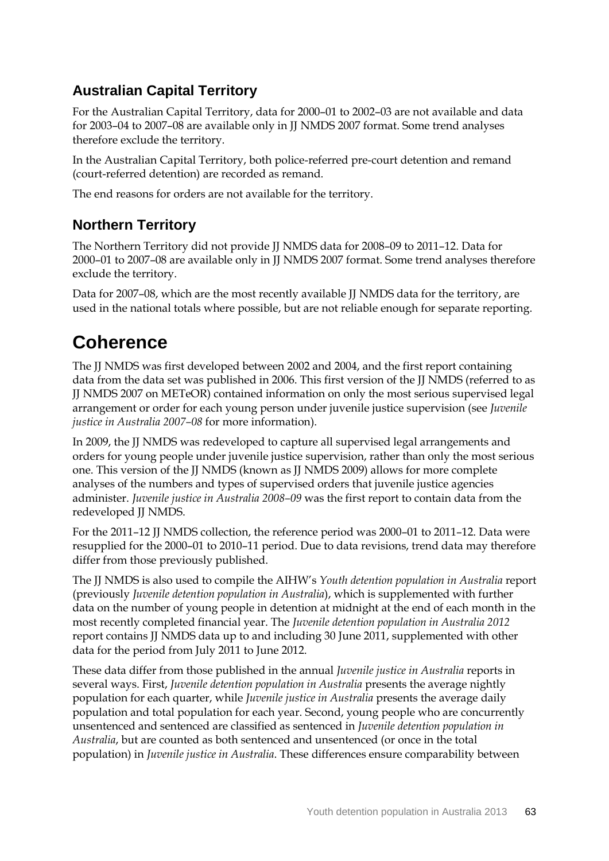## **Australian Capital Territory**

For the Australian Capital Territory, data for 2000–01 to 2002–03 are not available and data for 2003–04 to 2007–08 are available only in JJ NMDS 2007 format. Some trend analyses therefore exclude the territory.

In the Australian Capital Territory, both police-referred pre-court detention and remand (court-referred detention) are recorded as remand.

The end reasons for orders are not available for the territory.

## **Northern Territory**

The Northern Territory did not provide IJ NMDS data for 2008–09 to 2011–12. Data for 2000–01 to 2007–08 are available only in JJ NMDS 2007 format. Some trend analyses therefore exclude the territory.

Data for 2007–08, which are the most recently available JJ NMDS data for the territory, are used in the national totals where possible, but are not reliable enough for separate reporting.

# **Coherence**

The JJ NMDS was first developed between 2002 and 2004, and the first report containing data from the data set was published in 2006. This first version of the JJ NMDS (referred to as JJ NMDS 2007 on METeOR) contained information on only the most serious supervised legal arrangement or order for each young person under juvenile justice supervision (see *Juvenile justice in Australia 2007–08* for more information).

In 2009, the JJ NMDS was redeveloped to capture all supervised legal arrangements and orders for young people under juvenile justice supervision, rather than only the most serious one. This version of the JJ NMDS (known as JJ NMDS 2009) allows for more complete analyses of the numbers and types of supervised orders that juvenile justice agencies administer. *Juvenile justice in Australia 2008–09* was the first report to contain data from the redeveloped JJ NMDS.

For the 2011–12 JJ NMDS collection, the reference period was 2000–01 to 2011–12. Data were resupplied for the 2000–01 to 2010–11 period. Due to data revisions, trend data may therefore differ from those previously published.

The JJ NMDS is also used to compile the AIHW's *Youth detention population in Australia* report (previously *Juvenile detention population in Australia*), which is supplemented with further data on the number of young people in detention at midnight at the end of each month in the most recently completed financial year. The *Juvenile detention population in Australia 2012* report contains JJ NMDS data up to and including 30 June 2011, supplemented with other data for the period from July 2011 to June 2012.

These data differ from those published in the annual *Juvenile justice in Australia* reports in several ways. First, *Juvenile detention population in Australia* presents the average nightly population for each quarter, while *Juvenile justice in Australia* presents the average daily population and total population for each year. Second, young people who are concurrently unsentenced and sentenced are classified as sentenced in *Juvenile detention population in Australia*, but are counted as both sentenced and unsentenced (or once in the total population) in *Juvenile justice in Australia*. These differences ensure comparability between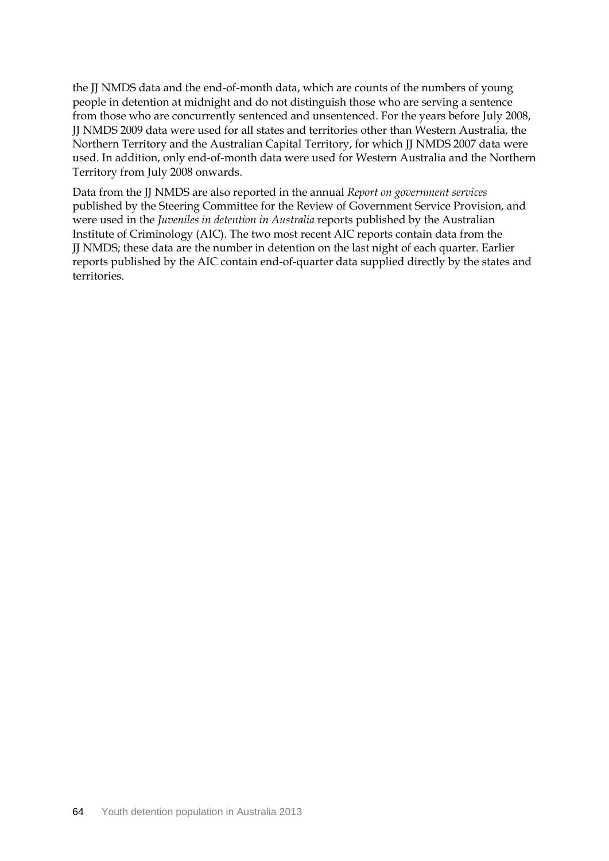the JJ NMDS data and the end-of-month data, which are counts of the numbers of young people in detention at midnight and do not distinguish those who are serving a sentence from those who are concurrently sentenced and unsentenced. For the years before July 2008, JJ NMDS 2009 data were used for all states and territories other than Western Australia, the Northern Territory and the Australian Capital Territory, for which JJ NMDS 2007 data were used. In addition, only end-of-month data were used for Western Australia and the Northern Territory from July 2008 onwards.

Data from the JJ NMDS are also reported in the annual *Report on government services*  published by the Steering Committee for the Review of Government Service Provision, and were used in the *Juveniles in detention in Australia* reports published by the Australian Institute of Criminology (AIC). The two most recent AIC reports contain data from the JJ NMDS; these data are the number in detention on the last night of each quarter. Earlier reports published by the AIC contain end-of-quarter data supplied directly by the states and territories.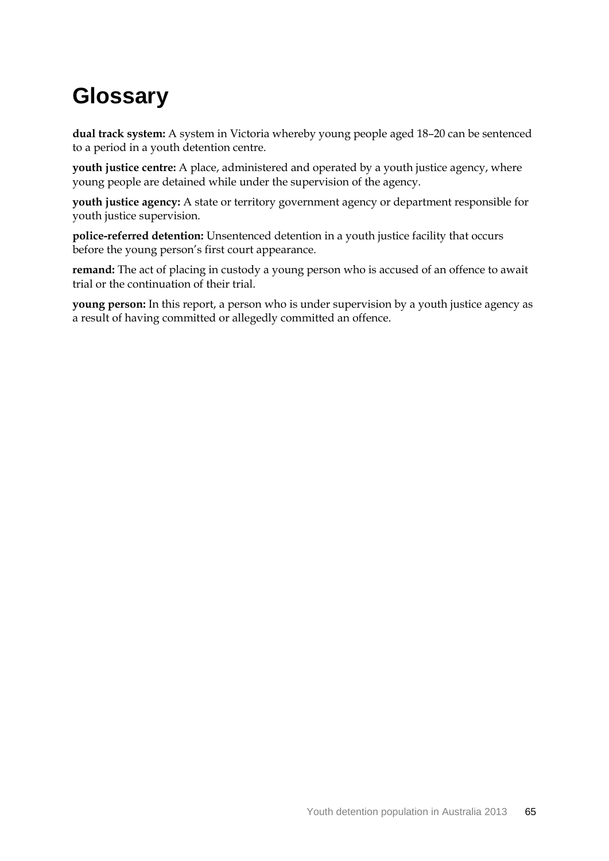# **Glossary**

**dual track system:** A system in Victoria whereby young people aged 18–20 can be sentenced to a period in a youth detention centre.

**youth justice centre:** A place, administered and operated by a youth justice agency, where young people are detained while under the supervision of the agency.

**youth justice agency:** A state or territory government agency or department responsible for youth justice supervision.

**police-referred detention:** Unsentenced detention in a youth justice facility that occurs before the young person's first court appearance.

**remand:** The act of placing in custody a young person who is accused of an offence to await trial or the continuation of their trial.

**young person:** In this report, a person who is under supervision by a youth justice agency as a result of having committed or allegedly committed an offence.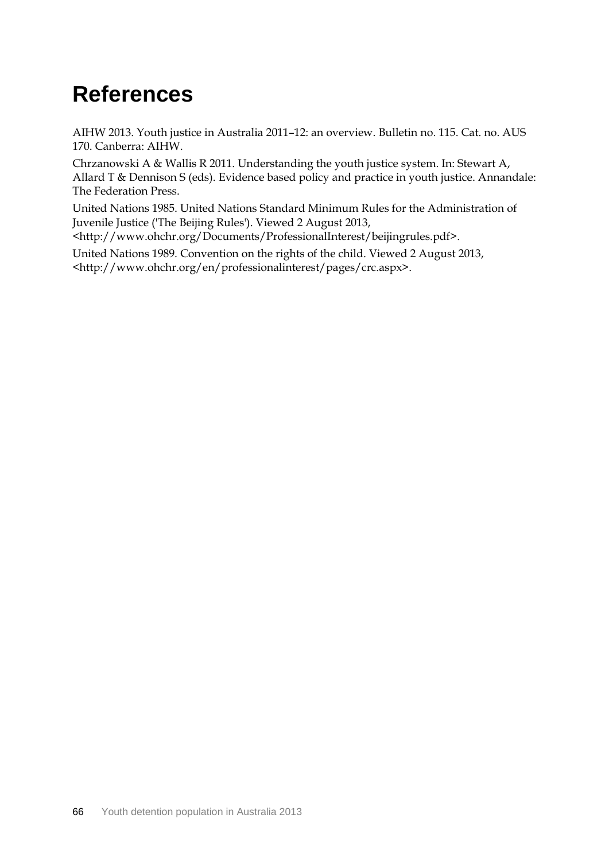## **References**

AIHW 2013. Youth justice in Australia 2011–12: an overview. Bulletin no. 115. Cat. no. AUS 170. Canberra: AIHW.

Chrzanowski A & Wallis R 2011. Understanding the youth justice system. In: Stewart A, Allard T & Dennison S (eds). Evidence based policy and practice in youth justice. Annandale: The Federation Press.

United Nations 1985. United Nations Standard Minimum Rules for the Administration of Juvenile Justice ('The Beijing Rules'). Viewed 2 August 2013,

[<http://www.ohchr.org/Documents/ProfessionalInterest/beijingrules.pdf>.](http://www.ohchr.org/Documents/ProfessionalInterest/beijingrules.pdf%3e)

United Nations 1989. Convention on the rights of the child. Viewed 2 August 2013, [<http://www.ohchr.org/en/professionalinterest/pages/crc.aspx>](http://www.ohchr.org/en/professionalinterest/pages/crc.aspx).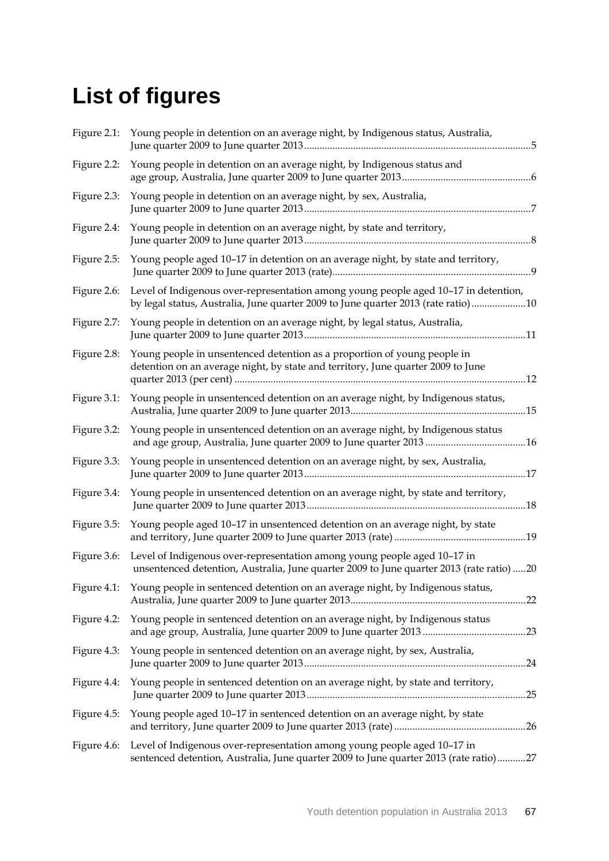# **List of figures**

|             | Figure 2.1: Young people in detention on an average night, by Indigenous status, Australia,                                                                                   |
|-------------|-------------------------------------------------------------------------------------------------------------------------------------------------------------------------------|
|             | Figure 2.2: Young people in detention on an average night, by Indigenous status and                                                                                           |
| Figure 2.3: | Young people in detention on an average night, by sex, Australia,                                                                                                             |
| Figure 2.4: | Young people in detention on an average night, by state and territory,                                                                                                        |
| Figure 2.5: | Young people aged 10-17 in detention on an average night, by state and territory,                                                                                             |
| Figure 2.6: | Level of Indigenous over-representation among young people aged 10-17 in detention,<br>by legal status, Australia, June quarter 2009 to June quarter 2013 (rate ratio)10      |
|             | Figure 2.7: Young people in detention on an average night, by legal status, Australia,                                                                                        |
| Figure 2.8: | Young people in unsentenced detention as a proportion of young people in<br>detention on an average night, by state and territory, June quarter 2009 to June                  |
| Figure 3.1: | Young people in unsentenced detention on an average night, by Indigenous status,                                                                                              |
| Figure 3.2: | Young people in unsentenced detention on an average night, by Indigenous status<br>and age group, Australia, June quarter 2009 to June quarter 2013 16                        |
| Figure 3.3: | Young people in unsentenced detention on an average night, by sex, Australia,                                                                                                 |
| Figure 3.4: | Young people in unsentenced detention on an average night, by state and territory,                                                                                            |
| Figure 3.5: | Young people aged 10-17 in unsentenced detention on an average night, by state                                                                                                |
| Figure 3.6: | Level of Indigenous over-representation among young people aged 10-17 in<br>unsentenced detention, Australia, June quarter 2009 to June quarter 2013 (rate ratio) 20          |
| Figure 4.1: | Young people in sentenced detention on an average night, by Indigenous status,                                                                                                |
| Figure 4.2: | Young people in sentenced detention on an average night, by Indigenous status                                                                                                 |
| Figure 4.3: | Young people in sentenced detention on an average night, by sex, Australia,                                                                                                   |
| Figure 4.4: | Young people in sentenced detention on an average night, by state and territory,                                                                                              |
| Figure 4.5: | Young people aged 10-17 in sentenced detention on an average night, by state                                                                                                  |
|             | Figure 4.6: Level of Indigenous over-representation among young people aged 10-17 in<br>sentenced detention, Australia, June quarter 2009 to June quarter 2013 (rate ratio)27 |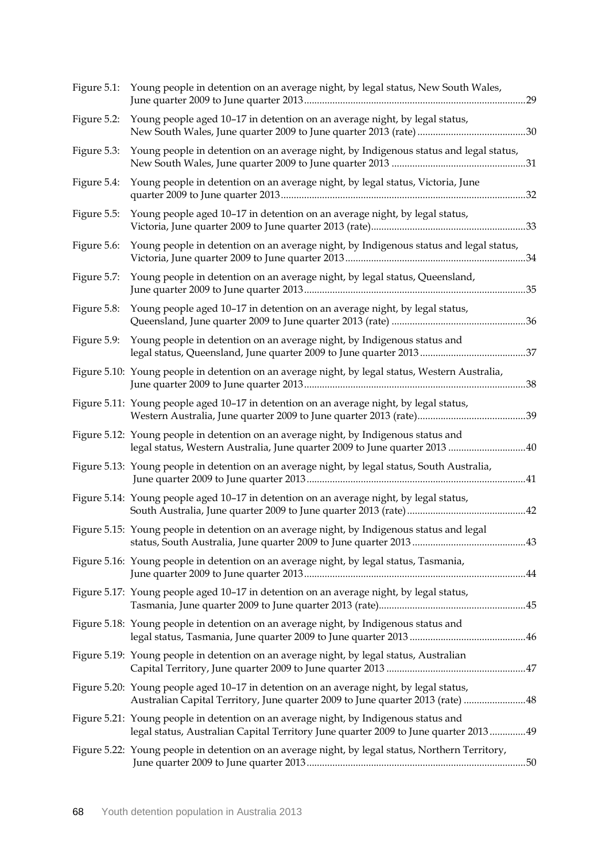|             | Figure 5.1: Young people in detention on an average night, by legal status, New South Wales,                                                                                |  |
|-------------|-----------------------------------------------------------------------------------------------------------------------------------------------------------------------------|--|
| Figure 5.2: | Young people aged 10-17 in detention on an average night, by legal status,                                                                                                  |  |
| Figure 5.3: | Young people in detention on an average night, by Indigenous status and legal status,                                                                                       |  |
| Figure 5.4: | Young people in detention on an average night, by legal status, Victoria, June                                                                                              |  |
| Figure 5.5: | Young people aged 10-17 in detention on an average night, by legal status,                                                                                                  |  |
| Figure 5.6: | Young people in detention on an average night, by Indigenous status and legal status,                                                                                       |  |
| Figure 5.7: | Young people in detention on an average night, by legal status, Queensland,                                                                                                 |  |
| Figure 5.8: | Young people aged 10-17 in detention on an average night, by legal status,                                                                                                  |  |
|             | Figure 5.9: Young people in detention on an average night, by Indigenous status and                                                                                         |  |
|             | Figure 5.10: Young people in detention on an average night, by legal status, Western Australia,                                                                             |  |
|             | Figure 5.11: Young people aged 10-17 in detention on an average night, by legal status,                                                                                     |  |
|             | Figure 5.12: Young people in detention on an average night, by Indigenous status and<br>legal status, Western Australia, June quarter 2009 to June quarter 2013 40          |  |
|             | Figure 5.13: Young people in detention on an average night, by legal status, South Australia,                                                                               |  |
|             | Figure 5.14: Young people aged 10-17 in detention on an average night, by legal status,                                                                                     |  |
|             | Figure 5.15: Young people in detention on an average night, by Indigenous status and legal                                                                                  |  |
|             | Figure 5.16: Young people in detention on an average night, by legal status, Tasmania,                                                                                      |  |
|             | Figure 5.17: Young people aged 10-17 in detention on an average night, by legal status,                                                                                     |  |
|             | Figure 5.18: Young people in detention on an average night, by Indigenous status and                                                                                        |  |
|             | Figure 5.19: Young people in detention on an average night, by legal status, Australian                                                                                     |  |
|             | Figure 5.20: Young people aged 10-17 in detention on an average night, by legal status,<br>Australian Capital Territory, June quarter 2009 to June quarter 2013 (rate)  48  |  |
|             | Figure 5.21: Young people in detention on an average night, by Indigenous status and<br>legal status, Australian Capital Territory June quarter 2009 to June quarter 201349 |  |
|             | Figure 5.22: Young people in detention on an average night, by legal status, Northern Territory,                                                                            |  |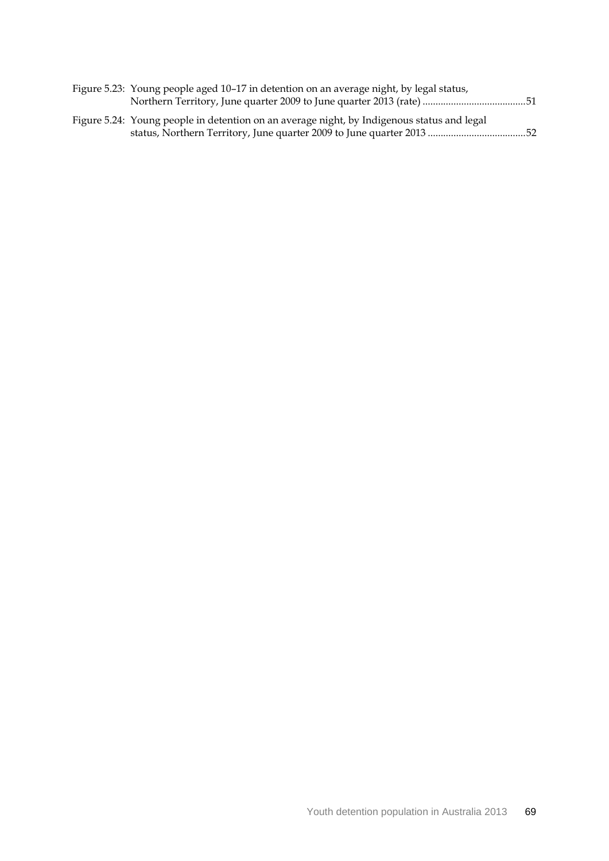| Figure 5.23: Young people aged 10–17 in detention on an average night, by legal status,    |  |
|--------------------------------------------------------------------------------------------|--|
|                                                                                            |  |
| Figure 5.24: Young people in detention on an average night, by Indigenous status and legal |  |
|                                                                                            |  |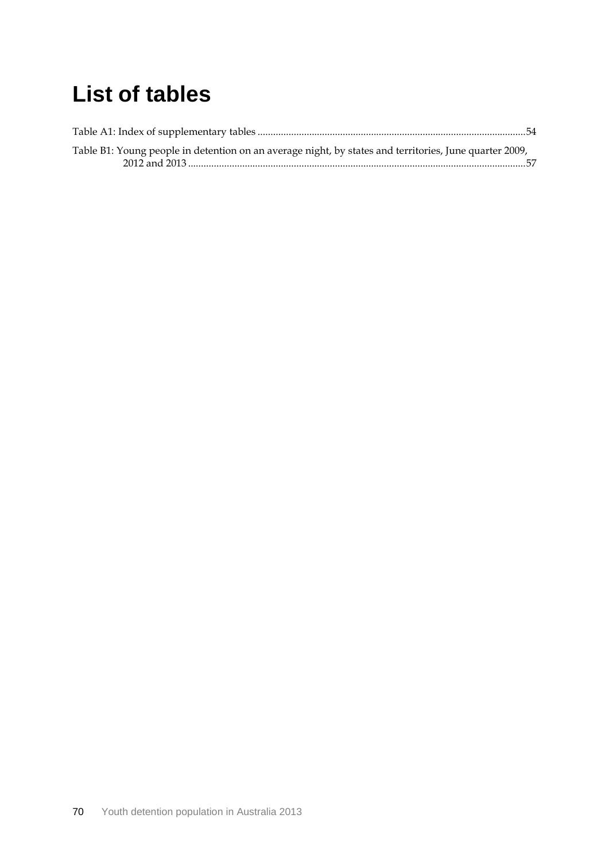#### **List of tables**

| Table B1: Young people in detention on an average night, by states and territories, June quarter 2009, |  |
|--------------------------------------------------------------------------------------------------------|--|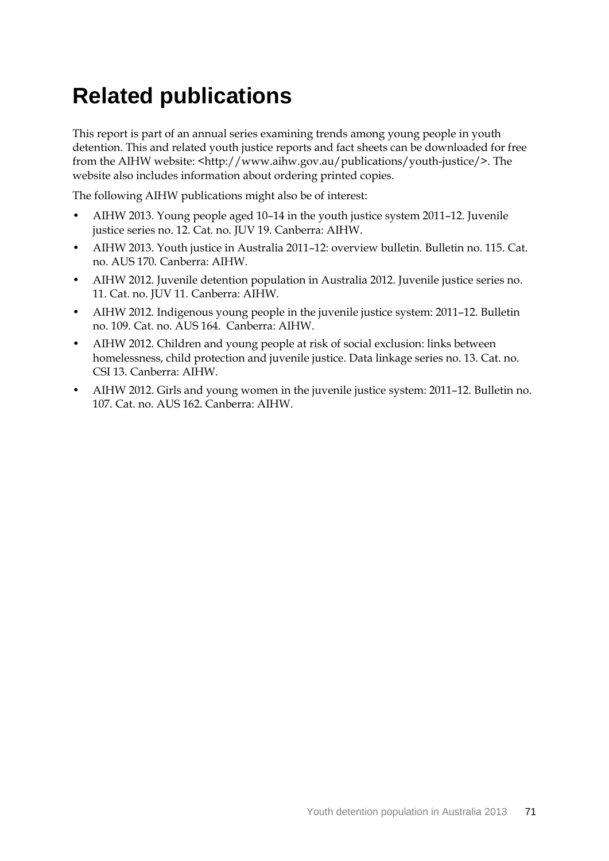#### **Related publications**

This report is part of an annual series examining trends among young people in youth detention. This and related youth justice reports and fact sheets can be downloaded for free from the AIHW website: <http://www.aihw.gov.au/publications/youth-justice/>. The website also includes information about ordering printed copies.

The following AIHW publications might also be of interest:

- AIHW 2013. Young people aged 10–14 in the youth justice system 2011–12. Juvenile justice series no. 12. Cat. no. JUV 19. Canberra: AIHW.
- AIHW 2013. Youth justice in Australia 2011–12: overview bulletin. Bulletin no. 115. Cat. no. AUS 170. Canberra: AIHW.
- AIHW 2012. Juvenile detention population in Australia 2012. Juvenile justice series no. 11. Cat. no. JUV 11. Canberra: AIHW.
- AIHW 2012. Indigenous young people in the juvenile justice system: 2011–12. Bulletin no. 109. Cat. no. AUS 164. Canberra: AIHW.
- AIHW 2012. Children and young people at risk of social exclusion: links between homelessness, child protection and juvenile justice. Data linkage series no. 13. Cat. no. CSI 13. Canberra: AIHW.
- AIHW 2012. Girls and young women in the juvenile justice system: 2011–12. Bulletin no. 107. Cat. no. AUS 162. Canberra: AIHW.